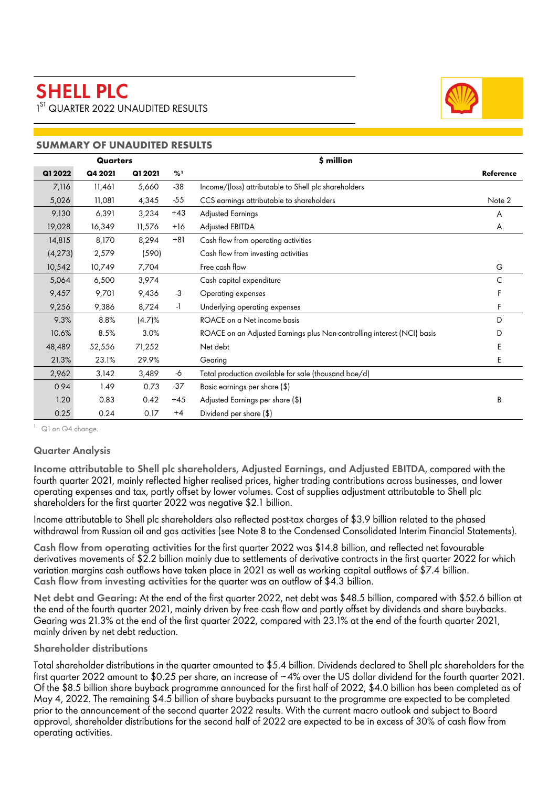# SHELL PLC 1<sup>ST</sup> QUARTER 2022 UNAUDITED RESULTS



#### **SUMMARY OF UNAUDITED RESULTS**

| Quarters |         |         |       | \$ million                                                              |           |
|----------|---------|---------|-------|-------------------------------------------------------------------------|-----------|
| Q1 2022  | Q4 2021 | Q1 2021 | %1    |                                                                         | Reference |
| 7,116    | 11,461  | 5,660   | -38   | Income/(loss) attributable to Shell plc shareholders                    |           |
| 5,026    | 11,081  | 4,345   | $-55$ | CCS earnings attributable to shareholders                               | Note 2    |
| 9,130    | 6,391   | 3,234   | $+43$ | <b>Adjusted Earnings</b>                                                | A         |
| 19,028   | 16,349  | 11,576  | $+16$ | <b>Adjusted EBITDA</b>                                                  | A         |
| 14,815   | 8,170   | 8,294   | $+81$ | Cash flow from operating activities                                     |           |
| (4, 273) | 2,579   | (590)   |       | Cash flow from investing activities                                     |           |
| 10,542   | 10,749  | 7,704   |       | Free cash flow                                                          | G         |
| 5,064    | 6,500   | 3,974   |       | Cash capital expenditure                                                | C         |
| 9,457    | 9,701   | 9,436   | $-3$  | Operating expenses                                                      |           |
| 9,256    | 9,386   | 8,724   | -1    | Underlying operating expenses                                           | F         |
| 9.3%     | 8.8%    | (4.7)%  |       | ROACE on a Net income basis                                             | D         |
| 10.6%    | 8.5%    | 3.0%    |       | ROACE on an Adjusted Earnings plus Non-controlling interest (NCI) basis | D         |
| 48,489   | 52,556  | 71,252  |       | Net debt                                                                | E         |
| 21.3%    | 23.1%   | 29.9%   |       | Gearing                                                                 | E         |
| 2,962    | 3,142   | 3,489   | -6    | Total production available for sale (thousand boe/d)                    |           |
| 0.94     | 1.49    | 0.73    | $-37$ | Basic earnings per share (\$)                                           |           |
| 1.20     | 0.83    | 0.42    | $+45$ | Adjusted Earnings per share (\$)                                        | B         |
| 0.25     | 0.24    | 0.17    | $+4$  | Dividend per share (\$)                                                 |           |

<sup>1.</sup> Q1 on Q4 change.

#### Quarter Analysis

**Income attributable to Shell plc shareholders, Adjusted Earnings, and Adjusted EBITDA**, compared with the fourth quarter 2021, mainly reflected higher realised prices, higher trading contributions across businesses, and lower operating expenses and tax, partly offset by lower volumes. Cost of supplies adjustment attributable to Shell plc shareholders for the first quarter 2022 was negative \$2.1 billion.

Income attributable to Shell plc shareholders also reflected post-tax charges of \$3.9 billion related to the phased withdrawal from Russian oil and gas activities (see Note 8 to the Condensed Consolidated Interim Financial Statements).

Cash flow from operating activities for the first quarter 2022 was \$14.8 billion, and reflected net favourable derivatives movements of \$2.2 billion mainly due to settlements of derivative contracts in the first quarter 2022 for which variation margins cash outflows have taken place in 2021 as well as working capital outflows of \$7.4 billion. **Cash flow from investing activities** for the quarter was an outflow of \$4.3 billion.

**Net debt and Gearing:** At the end of the first quarter 2022, net debt was \$48.5 billion, compared with \$52.6 billion at the end of the fourth quarter 2021, mainly driven by free cash flow and partly offset by dividends and share buybacks. Gearing was 21.3% at the end of the first quarter 2022, compared with 23.1% at the end of the fourth quarter 2021, mainly driven by net debt reduction.

#### **Shareholder distributions**

Total shareholder distributions in the quarter amounted to \$5.4 billion. Dividends declared to Shell plc shareholders for the first quarter 2022 amount to \$0.25 per share, an increase of ~4% over the US dollar dividend for the fourth quarter 2021. Of the \$8.5 billion share buyback programme announced for the first half of 2022, \$4.0 billion has been completed as of May 4, 2022. The remaining \$4.5 billion of share buybacks pursuant to the programme are expected to be completed prior to the announcement of the second quarter 2022 results. With the current macro outlook and subject to Board approval, shareholder distributions for the second half of 2022 are expected to be in excess of 30% of cash flow from operating activities.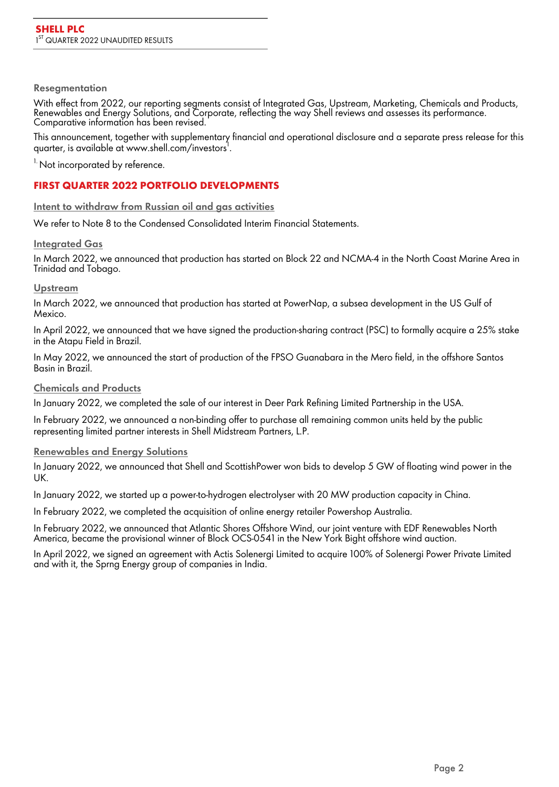#### Resegmentation

With effect from 2022, our reporting segments consist of Integrated Gas, Upstream, Marketing, Chemicals and Products, Renewables and Energy Solutions, and Corporate, reflecting the way Shell reviews and assesses its performance. Comparative information has been revised.

This announcement, together with supplementary financial and operational disclosure and a separate press release for this quarter, is available at www.shell.com/investors<sup>1</sup>.

<sup>1.</sup> Not incorporated by reference.

### **FIRST QUARTER 2022 PORTFOLIO DEVELOPMENTS**

#### **Intent to withdraw from Russian oil and gas activities**

We refer to Note 8 to the Condensed Consolidated Interim Financial Statements.

### **Integrated Gas**

In March 2022, we announced that production has started on Block 22 and NCMA-4 in the North Coast Marine Area in Trinidad and Tobago.

#### **Upstream**

In March 2022, we announced that production has started at PowerNap, a subsea development in the US Gulf of Mexico.

In April 2022, we announced that we have signed the production-sharing contract (PSC) to formally acquire a 25% stake in the Atapu Field in Brazil.

In May 2022, we announced the start of production of the FPSO Guanabara in the Mero field, in the offshore Santos Basin in Brazil.

#### **Chemicals and Products**

In January 2022, we completed the sale of our interest in Deer Park Refining Limited Partnership in the USA.

In February 2022, we announced a non-binding offer to purchase all remaining common units held by the public representing limited partner interests in Shell Midstream Partners, L.P.

#### **Renewables and Energy Solutions**

In January 2022, we announced that Shell and ScottishPower won bids to develop 5 GW of floating wind power in the UK.

In January 2022, we started up a power-to-hydrogen electrolyser with 20 MW production capacity in China.

In February 2022, we completed the acquisition of online energy retailer Powershop Australia.

In February 2022, we announced that Atlantic Shores Offshore Wind, our joint venture with EDF Renewables North America, became the provisional winner of Block OCS-0541 in the New York Bight offshore wind auction.

In April 2022, we signed an agreement with Actis Solenergi Limited to acquire 100% of Solenergi Power Private Limited and with it, the Sprng Energy group of companies in India.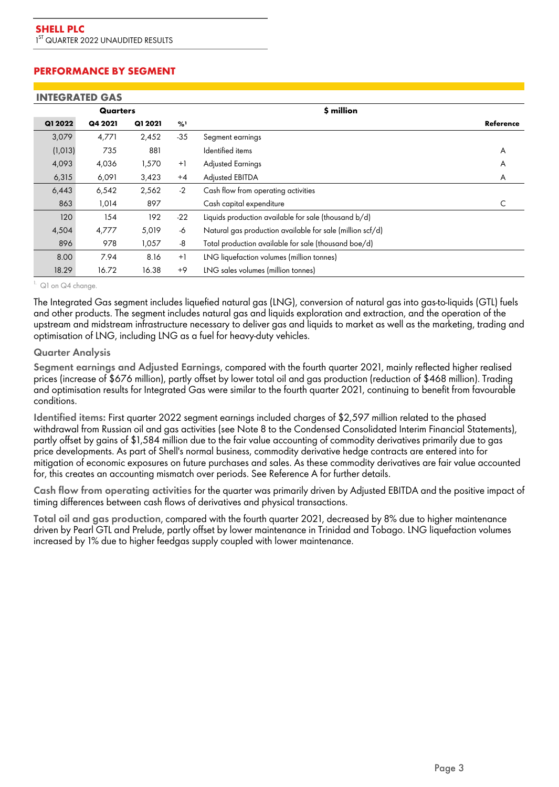# **PERFORMANCE BY SEGMENT**

#### **INTEGRATED GAS**

| Quarters |         |         |               | \$ million                                                |           |  |
|----------|---------|---------|---------------|-----------------------------------------------------------|-----------|--|
| Q1 2022  | Q4 2021 | Q1 2021 | $\frac{9}{6}$ |                                                           | Reference |  |
| 3,079    | 4,771   | 2,452   | $-35$         | Segment earnings                                          |           |  |
| (1, 013) | 735     | 881     |               | Identified items                                          | A         |  |
| 4,093    | 4,036   | 1,570   | $+1$          | <b>Adjusted Earnings</b>                                  | A         |  |
| 6,315    | 6,091   | 3,423   | $+4$          | <b>Adjusted EBITDA</b>                                    | A         |  |
| 6,443    | 6,542   | 2,562   | $-2$          | Cash flow from operating activities                       |           |  |
| 863      | 1,014   | 897     |               | Cash capital expenditure                                  | C         |  |
| 120      | 154     | 192     | $-22$         | Liquids production available for sale (thousand b/d)      |           |  |
| 4,504    | 4,777   | 5,019   | -6            | Natural gas production available for sale (million scf/d) |           |  |
| 896      | 978     | 1,057   | -8            | Total production available for sale (thousand boe/d)      |           |  |
| 8.00     | 7.94    | 8.16    | $+1$          | LNG liquefaction volumes (million tonnes)                 |           |  |
| 18.29    | 16.72   | 16.38   | $+9$          | LNG sales volumes (million tonnes)                        |           |  |

 $1.$  Q1 on Q4 change.

The Integrated Gas segment includes liquefied natural gas (LNG), conversion of natural gas into gas-to-liquids (GTL) fuels and other products. The segment includes natural gas and liquids exploration and extraction, and the operation of the upstream and midstream infrastructure necessary to deliver gas and liquids to market as well as the marketing, trading and optimisation of LNG, including LNG as a fuel for heavy-duty vehicles.

#### Quarter Analysis

**Segment earnings and Adjusted Earnings**, compared with the fourth quarter 2021, mainly reflected higher realised prices (increase of \$676 million), partly offset by lower total oil and gas production (reduction of \$468 million). Trading and optimisation results for Integrated Gas were similar to the fourth quarter 2021, continuing to benefit from favourable conditions.

Identified items: First quarter 2022 segment earnings included charges of \$2,597 million related to the phased withdrawal from Russian oil and gas activities (see Note 8 to the Condensed Consolidated Interim Financial Statements), partly offset by gains of \$1,584 million due to the fair value accounting of commodity derivatives primarily due to gas price developments. As part of Shell's normal business, commodity derivative hedge contracts are entered into for mitigation of economic exposures on future purchases and sales. As these commodity derivatives are fair value accounted for, this creates an accounting mismatch over periods. See Reference A for further details.

Cash flow from operating activities for the quarter was primarily driven by Adjusted EBITDA and the positive impact of timing differences between cash flows of derivatives and physical transactions.

Total oil and gas production, compared with the fourth quarter 2021, decreased by 8% due to higher maintenance driven by Pearl GTL and Prelude, partly offset by lower maintenance in Trinidad and Tobago. LNG liquefaction volumes increased by 1% due to higher feedgas supply coupled with lower maintenance.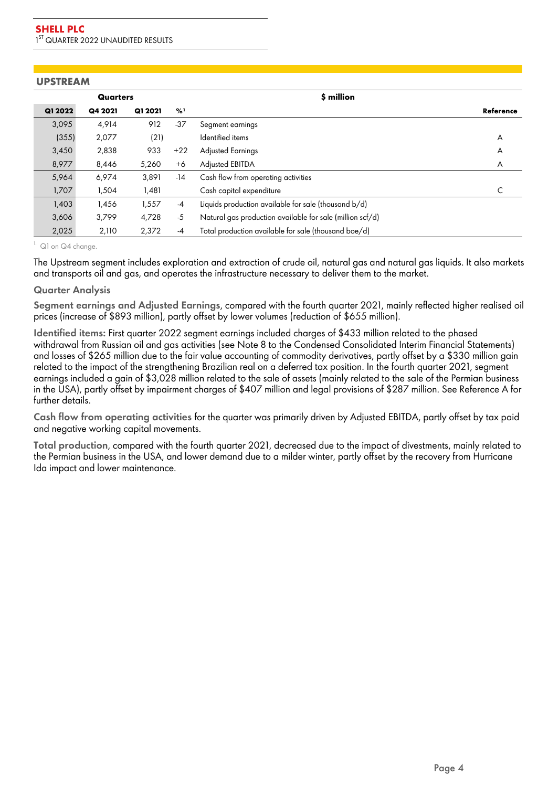|         | <b>UPSTREAM</b> |         |       |                                                           |           |  |  |  |
|---------|-----------------|---------|-------|-----------------------------------------------------------|-----------|--|--|--|
|         | Quarters        |         |       | \$ million                                                |           |  |  |  |
| Q1 2022 | Q4 2021         | Q1 2021 | %1    |                                                           | Reference |  |  |  |
| 3,095   | 4,914           | 912     | $-37$ | Segment earnings                                          |           |  |  |  |
| (355)   | 2,077           | (21)    |       | Identified items                                          | A         |  |  |  |
| 3,450   | 2,838           | 933     | $+22$ | <b>Adjusted Earnings</b>                                  | A         |  |  |  |
| 8,977   | 8,446           | 5,260   | $+6$  | <b>Adjusted EBITDA</b>                                    | A         |  |  |  |
| 5,964   | 6,974           | 3.891   | -14   | Cash flow from operating activities                       |           |  |  |  |
| 1,707   | 1,504           | 1,481   |       | Cash capital expenditure                                  | C         |  |  |  |
| 1,403   | 1,456           | 1,557   | $-4$  | Liquids production available for sale (thousand b/d)      |           |  |  |  |
| 3,606   | 3,799           | 4,728   | $-5$  | Natural gas production available for sale (million scf/d) |           |  |  |  |
| 2,025   | 2,110           | 2.372   | $-4$  | Total production available for sale (thousand boe/d)      |           |  |  |  |

 $1.$  Q1 on Q4 change.

The Upstream segment includes exploration and extraction of crude oil, natural gas and natural gas liquids. It also markets and transports oil and gas, and operates the infrastructure necessary to deliver them to the market.

#### Quarter Analysis

Segment earnings and Adjusted Earnings, compared with the fourth quarter 2021, mainly reflected higher realised oil prices (increase of \$893 million), partly offset by lower volumes (reduction of \$655 million).

Identified items: First quarter 2022 segment earnings included charges of \$433 million related to the phased withdrawal from Russian oil and gas activities (see Note 8 to the Condensed Consolidated Interim Financial Statements) and losses of \$265 million due to the fair value accounting of commodity derivatives, partly offset by a \$330 million gain related to the impact of the strengthening Brazilian real on a deferred tax position. In the fourth quarter 2021, segment earnings included a gain of \$3,028 million related to the sale of assets (mainly related to the sale of the Permian business in the USA), partly offset by impairment charges of \$407 million and legal provisions of \$287 million. See Reference A for further details.

Cash flow from operating activities for the quarter was primarily driven by Adjusted EBITDA, partly offset by tax paid and negative working capital movements.

Total production, compared with the fourth quarter 2021, decreased due to the impact of divestments, mainly related to the Permian business in the USA, and lower demand due to a milder winter, partly offset by the recovery from Hurricane Ida impact and lower maintenance.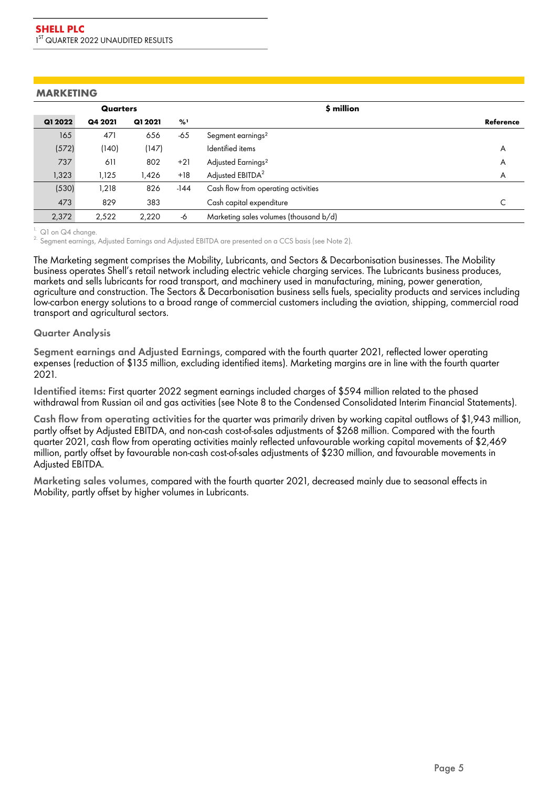#### **MARKETING**

| <b>Quarters</b> |         |         |        | \$ million                             |           |
|-----------------|---------|---------|--------|----------------------------------------|-----------|
| Q1 2022         | Q4 2021 | Q1 2021 | %'     |                                        | Reference |
| 165             | 471     | 656     | -65    | Segment earnings <sup>2</sup>          |           |
| (572)           | (140)   | (147)   |        | Identified items                       | A         |
| 737             | 611     | 802     | $+21$  | Adjusted Earnings <sup>2</sup>         | A         |
| 1,323           | 1,125   | 1.426   | $+18$  | Adjusted EBITDA <sup>2</sup>           | A         |
| (530)           | 1,218   | 826     | $-144$ | Cash flow from operating activities    |           |
| 473             | 829     | 383     |        | Cash capital expenditure               |           |
| 2,372           | 2,522   | 2,220   | -6     | Marketing sales volumes (thousand b/d) |           |

Q1 on Q4 change.

2. Segment earnings, Adjusted Earnings and Adjusted EBITDA are presented on a CCS basis (see Note 2).

The Marketing segment comprises the Mobility, Lubricants, and Sectors & Decarbonisation businesses. The Mobility business operates Shell's retail network including electric vehicle charging services. The Lubricants business produces, markets and sells lubricants for road transport, and machinery used in manufacturing, mining, power generation, agriculture and construction. The Sectors & Decarbonisation business sells fuels, speciality products and services including low-carbon energy solutions to a broad range of commercial customers including the aviation, shipping, commercial road transport and agricultural sectors.

#### Quarter Analysis

Segment earnings and Adjusted Earnings, compared with the fourth quarter 2021, reflected lower operating expenses (reduction of \$135 million, excluding identified items). Marketing margins are in line with the fourth quarter 2021.

Identified items: First quarter 2022 segment earnings included charges of \$594 million related to the phased withdrawal from Russian oil and gas activities (see Note 8 to the Condensed Consolidated Interim Financial Statements).

Cash flow from operating activities for the quarter was primarily driven by working capital outflows of \$1,943 million, partly offset by Adjusted EBITDA, and non-cash cost-of-sales adjustments of \$268 million. Compared with the fourth quarter 2021, cash flow from operating activities mainly reflected unfavourable working capital movements of \$2,469 million, partly offset by favourable non-cash cost-of-sales adjustments of \$230 million, and favourable movements in Adjusted EBITDA.

Marketing sales volumes, compared with the fourth quarter 2021, decreased mainly due to seasonal effects in Mobility, partly offset by higher volumes in Lubricants.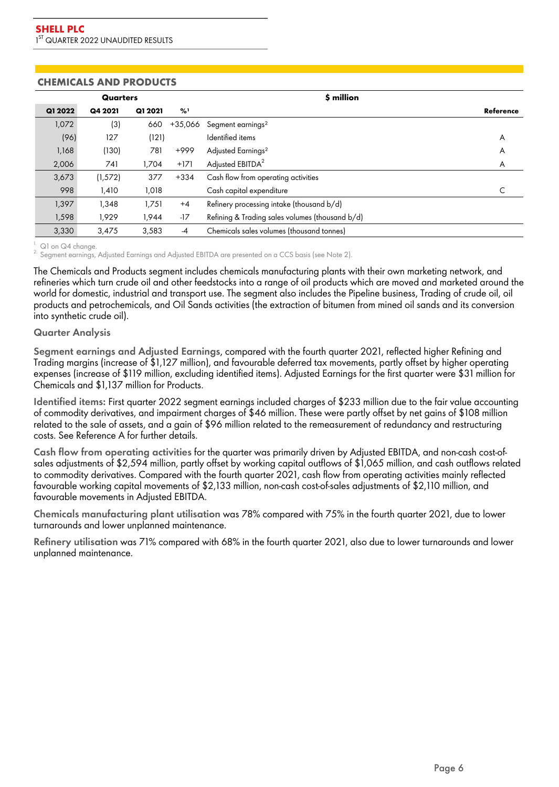| Quarters |          |         |         | \$ million                                      |           |  |  |
|----------|----------|---------|---------|-------------------------------------------------|-----------|--|--|
| Q1 2022  | Q4 2021  | Q1 2021 | %1      |                                                 | Reference |  |  |
| 1,072    | (3)      | 660     | +35,066 | Segment earnings <sup>2</sup>                   |           |  |  |
| (96)     | 127      | (121)   |         | Identified items                                | A         |  |  |
| 1,168    | (130)    | 781     | +999    | Adjusted Earnings <sup>2</sup>                  | A         |  |  |
| 2,006    | 741      | 1.704   | $+171$  | Adjusted EBITDA <sup>2</sup>                    | A         |  |  |
| 3,673    | (1, 572) | 377     | $+334$  | Cash flow from operating activities             |           |  |  |
| 998      | 1,410    | 1,018   |         | Cash capital expenditure                        |           |  |  |
| 1,397    | 1,348    | 1,751   | $+4$    | Refinery processing intake (thousand b/d)       |           |  |  |
| 1,598    | 1.929    | 1.944   | $-17$   | Refining & Trading sales volumes (thousand b/d) |           |  |  |
| 3,330    | 3.475    | 3.583   | $-4$    | Chemicals sales volumes (thousand tonnes)       |           |  |  |

#### **CHEMICALS AND PRODUCTS**

Q1 on Q4 change.

2. Segment earnings, Adjusted Earnings and Adjusted EBITDA are presented on a CCS basis (see Note 2).

The Chemicals and Products segment includes chemicals manufacturing plants with their own marketing network, and refineries which turn crude oil and other feedstocks into a range of oil products which are moved and marketed around the world for domestic, industrial and transport use. The segment also includes the Pipeline business, Trading of crude oil, oil products and petrochemicals, and Oil Sands activities (the extraction of bitumen from mined oil sands and its conversion into synthetic crude oil).

#### Quarter Analysis

Segment earnings and Adjusted Earnings, compared with the fourth quarter 2021, reflected higher Refining and Trading margins (increase of \$1,127 million), and favourable deferred tax movements, partly offset by higher operating expenses (increase of \$119 million, excluding identified items). Adjusted Earnings for the first quarter were \$31 million for Chemicals and \$1,137 million for Products.

Identified items: First quarter 2022 segment earnings included charges of \$233 million due to the fair value accounting of commodity derivatives, and impairment charges of \$46 million. These were partly offset by net gains of \$108 million related to the sale of assets, and a gain of \$96 million related to the remeasurement of redundancy and restructuring costs. See Reference A for further details.

Cash flow from operating activities for the quarter was primarily driven by Adjusted EBITDA, and non-cash cost-ofsales adjustments of \$2,594 million, partly offset by working capital outflows of \$1,065 million, and cash outflows related to commodity derivatives. Compared with the fourth quarter 2021, cash flow from operating activities mainly reflected favourable working capital movements of \$2,133 million, non-cash cost-of-sales adjustments of \$2,110 million, and favourable movements in Adjusted EBITDA.

Chemicals manufacturing plant utilisation was 78% compared with 75% in the fourth quarter 2021, due to lower turnarounds and lower unplanned maintenance.

Refinery utilisation was 71% compared with 68% in the fourth quarter 2021, also due to lower turnarounds and lower unplanned maintenance.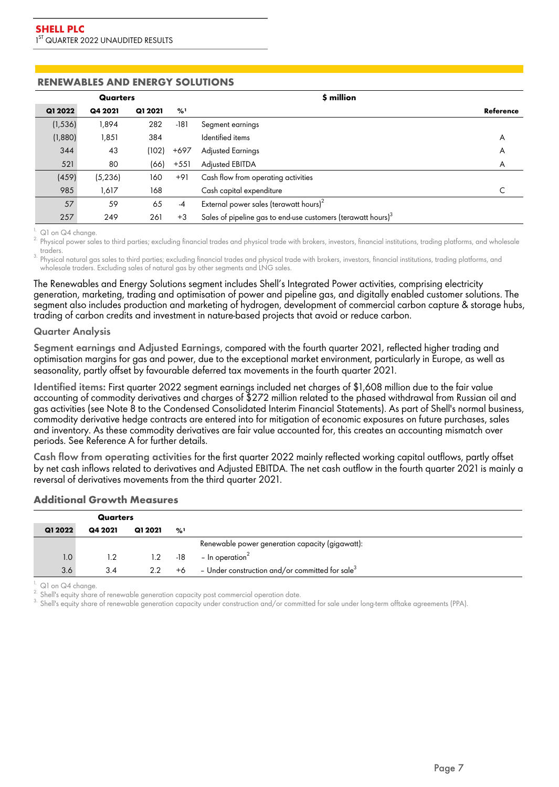| Quarters |          |         |        | \$ million                                                               |           |  |  |  |
|----------|----------|---------|--------|--------------------------------------------------------------------------|-----------|--|--|--|
| Q1 2022  | Q4 2021  | Q1 2021 | %1     |                                                                          | Reference |  |  |  |
| (1, 536) | 1,894    | 282     | -181   | Segment earnings                                                         |           |  |  |  |
| (1,880)  | 1,851    | 384     |        | Identified items                                                         | A         |  |  |  |
| 344      | 43       | (102)   | +697   | <b>Adjusted Earnings</b>                                                 | A         |  |  |  |
| 521      | 80       | (66)    | $+551$ | Adjusted EBITDA                                                          | A         |  |  |  |
| (459)    | (5, 236) | 160     | $+91$  | Cash flow from operating activities                                      |           |  |  |  |
| 985      | 1,617    | 168     |        | Cash capital expenditure                                                 |           |  |  |  |
| 57       | 59       | 65      | $-4$   | External power sales (terawatt hours) <sup>2</sup>                       |           |  |  |  |
| 257      | 249      | 261     | $+3$   | Sales of pipeline gas to end-use customers (terawatt hours) <sup>3</sup> |           |  |  |  |

#### **RENEWABLES AND ENERGY SOLUTIONS**

 $\frac{1}{2}$ . Q1 on Q4 change.

Physical power sales to third parties; excluding financial trades and physical trade with brokers, investors, financial institutions, trading platforms, and wholesale traders.

<sup>3.</sup> Physical natural gas sales to third parties; excluding financial trades and physical trade with brokers, investors, financial institutions, trading platforms, and wholesale traders. Excluding sales of natural gas by other segments and LNG sales.

The Renewables and Energy Solutions segment includes Shell's Integrated Power activities, comprising electricity generation, marketing, trading and optimisation of power and pipeline gas, and digitally enabled customer solutions. The segment also includes production and marketing of hydrogen, development of commercial carbon capture & storage hubs, trading of carbon credits and investment in nature-based projects that avoid or reduce carbon.

#### **Quarter Analysis**

**Segment earnings and Adjusted Earnings**, compared with the fourth quarter 2021, reflected higher trading and optimisation margins for gas and power, due to the exceptional market environment, particularly in Europe, as well as seasonality, partly offset by favourable deferred tax movements in the fourth quarter 2021.

Identified items: First quarter 2022 segment earnings included net charges of \$1,608 million due to the fair value accounting of commodity derivatives and charges of \$272 million related to the phased withdrawal from Russian oil and gas activities (see Note 8 to the Condensed Consolidated Interim Financial Statements). As part of Shell's normal business, commodity derivative hedge contracts are entered into for mitigation of economic exposures on future purchases, sales and inventory. As these commodity derivatives are fair value accounted for, this creates an accounting mismatch over periods. See Reference A for further details.

**Cash flow from operating activities** for the first quarter 2022 mainly reflected working capital outflows, partly offset by net cash inflows related to derivatives and Adjusted EBITDA. The net cash outflow in the fourth quarter 2021 is mainly a reversal of derivatives movements from the third quarter 2021.

#### **Additional Growth Measures**

| Quarters |         |                  |                            |                                                                  |
|----------|---------|------------------|----------------------------|------------------------------------------------------------------|
| Q1 2022  | Q4 2021 | Q1 2021          | $\frac{9}{6}$ <sup>1</sup> |                                                                  |
|          |         |                  |                            | Renewable power generation capacity (gigawatt):                  |
| 1.0      | 1.2     |                  |                            | 1.2 $-18$ - In operation <sup>2</sup>                            |
| 3.6      | 3.4     | $2.2\phantom{0}$ |                            | $+6$ - Under construction and/or committed for sale <sup>3</sup> |

 $\frac{1}{2}$ . Q1 on Q4 change.

Shell's equity share of renewable generation capacity post commercial operation date.

3. Shell's equity share of renewable generation capacity under construction and/or committed for sale under long-term offtake agreements (PPA).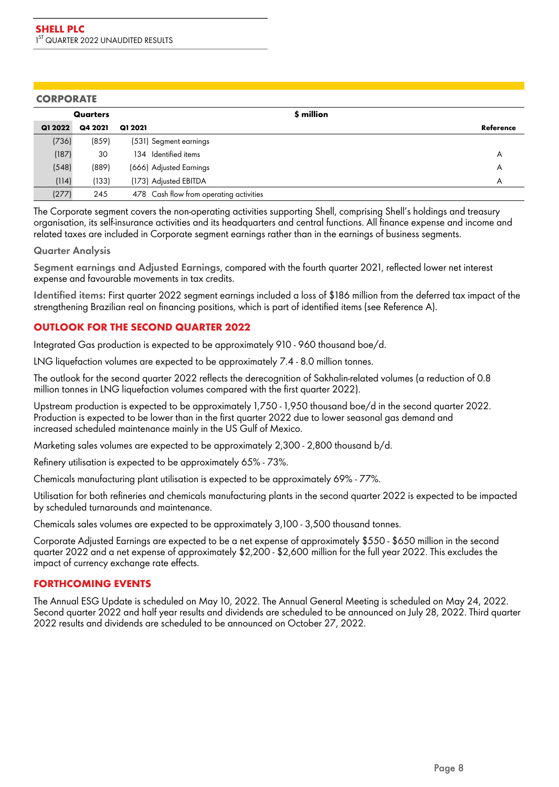#### **CORPORATE**

| <b>Quarters</b> |         |         |                                         | \$ million |           |
|-----------------|---------|---------|-----------------------------------------|------------|-----------|
| Q1 2022         | Q4 2021 | Q1 2021 |                                         |            | Reference |
| (736)           | (859)   |         | (531) Segment earnings                  |            |           |
| (187)           | 30      | 134     | Identified items                        |            | A         |
| (548)           | (889)   |         | (666) Adjusted Earnings                 |            | Α         |
| (114)           | (133)   |         | (173) Adjusted EBITDA                   |            | Α         |
| (277)           | 245     |         | 478 Cash flow from operating activities |            |           |

The Corporate segment covers the non-operating activities supporting Shell, comprising Shell's holdings and treasury organisation, its self-insurance activities and its headquarters and central functions. All finance expense and income and related taxes are included in Corporate segment earnings rather than in the earnings of business segments.

#### Quarter Analysis

Segment earnings and Adjusted Earnings, compared with the fourth quarter 2021, reflected lower net interest expense and favourable movements in tax credits.

Identified items: First quarter 2022 segment earnings included a loss of \$186 million from the deferred tax impact of the strengthening Brazilian real on financing positions, which is part of identified items (see Reference A).

# **OUTLOOK FOR THE SECOND QUARTER 2022**

Integrated Gas production is expected to be approximately 910 - 960 thousand boe/d.

LNG liquefaction volumes are expected to be approximately 7.4 - 8.0 million tonnes.

The outlook for the second quarter 2022 reflects the derecognition of Sakhalin-related volumes (a reduction of 0.8 million tonnes in LNG liquefaction volumes compared with the first quarter 2022).

Upstream production is expected to be approximately 1,750 - 1,950 thousand boe/d in the second quarter 2022. Production is expected to be lower than in the first quarter 2022 due to lower seasonal gas demand and increased scheduled maintenance mainly in the US Gulf of Mexico.

Marketing sales volumes are expected to be approximately 2,300 - 2,800 thousand b/d.

Refinery utilisation is expected to be approximately 65% - 73%.

Chemicals manufacturing plant utilisation is expected to be approximately 69% - 77%.

Utilisation for both refineries and chemicals manufacturing plants in the second quarter 2022 is expected to be impacted by scheduled turnarounds and maintenance.

Chemicals sales volumes are expected to be approximately 3,100 - 3,500 thousand tonnes.

Corporate Adjusted Earnings are expected to be a net expense of approximately \$550 - \$650 million in the second quarter 2022 and a net expense of approximately \$2,200 - \$2,600 million for the full year 2022. This excludes the impact of currency exchange rate effects.

#### **FORTHCOMING EVENTS**

The Annual ESG Update is scheduled on May 10, 2022. The Annual General Meeting is scheduled on May 24, 2022. Second quarter 2022 and half year results and dividends are scheduled to be announced on July 28, 2022. Third quarter 2022 results and dividends are scheduled to be announced on October 27, 2022.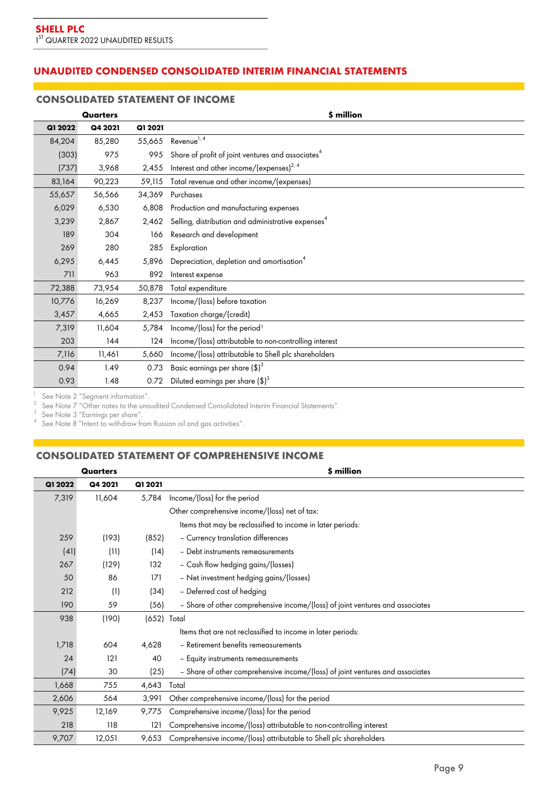# **UNAUDITED CONDENSED CONSOLIDATED INTERIM FINANCIAL STATEMENTS**

#### **CONSOLIDATED STATEMENT OF INCOME**

|         | Quarters |         | \$ million                                                     |
|---------|----------|---------|----------------------------------------------------------------|
| Q1 2022 | Q4 2021  | Q1 2021 |                                                                |
| 84,204  | 85,280   | 55,665  | Revenue <sup>1, 4</sup>                                        |
| (303)   | 975      | 995     | Share of profit of joint ventures and associates <sup>4</sup>  |
| (737)   | 3,968    | 2,455   | Interest and other income/(expenses) <sup>2, 4</sup>           |
| 83,164  | 90,223   | 59,115  | Total revenue and other income/(expenses)                      |
| 55,657  | 56,566   | 34,369  | Purchases                                                      |
| 6,029   | 6,530    | 6,808   | Production and manufacturing expenses                          |
| 3,239   | 2,867    | 2,462   | Selling, distribution and administrative expenses <sup>4</sup> |
| 189     | 304      | 166     | Research and development                                       |
| 269     | 280      | 285     | Exploration                                                    |
| 6,295   | 6,445    | 5,896   | Depreciation, depletion and amortisation <sup>4</sup>          |
| 711     | 963      | 892     | Interest expense                                               |
| 72,388  | 73,954   | 50,878  | Total expenditure                                              |
| 10,776  | 16,269   | 8,237   | Income/(loss) before taxation                                  |
| 3,457   | 4,665    | 2,453   | Taxation charge/(credit)                                       |
| 7,319   | 11,604   | 5,784   | Income/(loss) for the period <sup>1</sup>                      |
| 203     | 144      | 124     | Income/(loss) attributable to non-controlling interest         |
| 7,116   | 11,461   | 5,660   | Income/(loss) attributable to Shell plc shareholders           |
| 0.94    | 1.49     | 0.73    | Basic earnings per share $(\text{$\frac{1}{2}$})^3$            |
| 0.93    | 1.48     | 0.72    | Diluted earnings per share $(\text{$\$})^3$                    |

<sup>1.</sup> See Note 2 "Segment information".

 $2\overline{2}$  See Note 7 "Other notes to the unaudited Condensed Consolidated Interim Financial Statements".

<sup>3.</sup> See Note 3 "Earnings per share".

4. See Note 8 "Intent to withdraw from Russian oil and gas activities".

# **CONSOLIDATED STATEMENT OF COMPREHENSIVE INCOME**

|         | Quarters |             | \$ million                                                                    |
|---------|----------|-------------|-------------------------------------------------------------------------------|
| Q1 2022 | Q4 2021  | Q1 2021     |                                                                               |
| 7,319   | 11,604   | 5.784       | Income/(loss) for the period                                                  |
|         |          |             | Other comprehensive income/(loss) net of tax:                                 |
|         |          |             | Items that may be reclassified to income in later periods:                    |
| 259     | (193)    | (852)       | - Currency translation differences                                            |
| (41)    | (11)     | (14)        | - Debt instruments remeasurements                                             |
| 267     | (129)    | 132         | - Cash flow hedging gains/(losses)                                            |
| 50      | 86       | 171         | - Net investment hedging gains/(losses)                                       |
| 212     | (1)      | (34)        | - Deferred cost of hedging                                                    |
| 190     | 59       | (56)        | - Share of other comprehensive income/(loss) of joint ventures and associates |
| 938     | (190)    | (652) Total |                                                                               |
|         |          |             | Items that are not reclassified to income in later periods:                   |
| 1,718   | 604      | 4,628       | - Retirement benefits remeasurements                                          |
| 24      | 121      | 40          | - Equity instruments remeasurements                                           |
| (74)    | 30       | (25)        | - Share of other comprehensive income/(loss) of joint ventures and associates |
| 1,668   | 755      | 4,643       | Total                                                                         |
| 2,606   | 564      | 3,991       | Other comprehensive income/(loss) for the period                              |
| 9,925   | 12,169   | 9,775       | Comprehensive income/(loss) for the period                                    |
| 218     | 118      | 121         | Comprehensive income/(loss) attributable to non-controlling interest          |
| 9,707   | 12,051   | 9,653       | Comprehensive income/(loss) attributable to Shell plc shareholders            |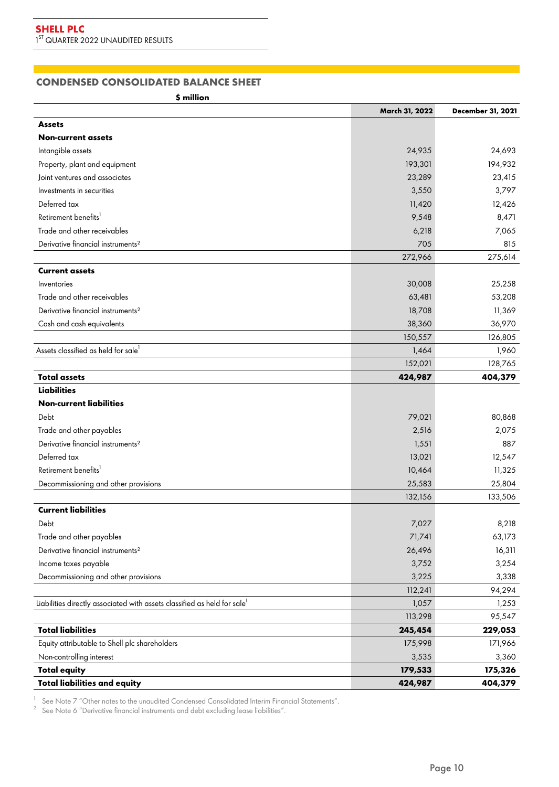# **CONDENSED CONSOLIDATED BALANCE SHEET**

**\$ million**

|                                                                                      | March 31, 2022 | December 31, 2021 |
|--------------------------------------------------------------------------------------|----------------|-------------------|
| <b>Assets</b>                                                                        |                |                   |
| <b>Non-current assets</b>                                                            |                |                   |
| Intangible assets                                                                    | 24,935         | 24,693            |
| Property, plant and equipment                                                        | 193,301        | 194,932           |
| Joint ventures and associates                                                        | 23,289         | 23,415            |
| Investments in securities                                                            | 3,550          | 3,797             |
| Deferred tax                                                                         | 11,420         | 12,426            |
| Retirement benefits <sup>1</sup>                                                     | 9,548          | 8,471             |
| Trade and other receivables                                                          | 6,218          | 7,065             |
| Derivative financial instruments <sup>2</sup>                                        | 705            | 815               |
|                                                                                      | 272,966        | 275,614           |
| <b>Current assets</b>                                                                |                |                   |
| Inventories                                                                          | 30,008         | 25,258            |
| Trade and other receivables                                                          | 63,481         | 53,208            |
| Derivative financial instruments <sup>2</sup>                                        | 18,708         | 11,369            |
| Cash and cash equivalents                                                            | 38,360         | 36,970            |
|                                                                                      | 150,557        | 126,805           |
| Assets classified as held for sale <sup>1</sup>                                      | 1,464          | 1,960             |
|                                                                                      | 152,021        | 128,765           |
| <b>Total assets</b>                                                                  | 424,987        | 404,379           |
| <b>Liabilities</b>                                                                   |                |                   |
| <b>Non-current liabilities</b>                                                       |                |                   |
| Debt                                                                                 | 79,021         | 80,868            |
| Trade and other payables                                                             | 2,516          | 2,075             |
| Derivative financial instruments <sup>2</sup>                                        | 1,551          | 887               |
| Deferred tax                                                                         | 13,021         | 12,547            |
| Retirement benefits <sup>1</sup>                                                     | 10,464         | 11,325            |
| Decommissioning and other provisions                                                 | 25,583         | 25,804            |
|                                                                                      | 132,156        | 133,506           |
| <b>Current liabilities</b>                                                           |                |                   |
| Debt                                                                                 | 7,027          | 8,218             |
| Trade and other payables                                                             | 71,741         | 63,173            |
| Derivative financial instruments <sup>2</sup>                                        | 26,496         | 16,311            |
| Income taxes payable                                                                 | 3,752          | 3,254             |
| Decommissioning and other provisions                                                 | 3,225          | 3,338             |
|                                                                                      | 112,241        | 94,294            |
| Liabilities directly associated with assets classified as held for sale <sup>1</sup> | 1,057          | 1,253             |
|                                                                                      | 113,298        | 95,547            |
| <b>Total liabilities</b>                                                             | 245,454        | 229,053           |
| Equity attributable to Shell plc shareholders                                        | 175,998        | 171,966           |
| Non-controlling interest                                                             | 3,535          | 3,360             |
| <b>Total equity</b>                                                                  | 179,533        | 175,326           |
| <b>Total liabilities and equity</b>                                                  | 424,987        | 404,379           |

<sup>1.</sup> See Note 7 "Other notes to the unaudited Condensed Consolidated Interim Financial Statements".

2. See Note 6 "Derivative financial instruments and debt excluding lease liabilities".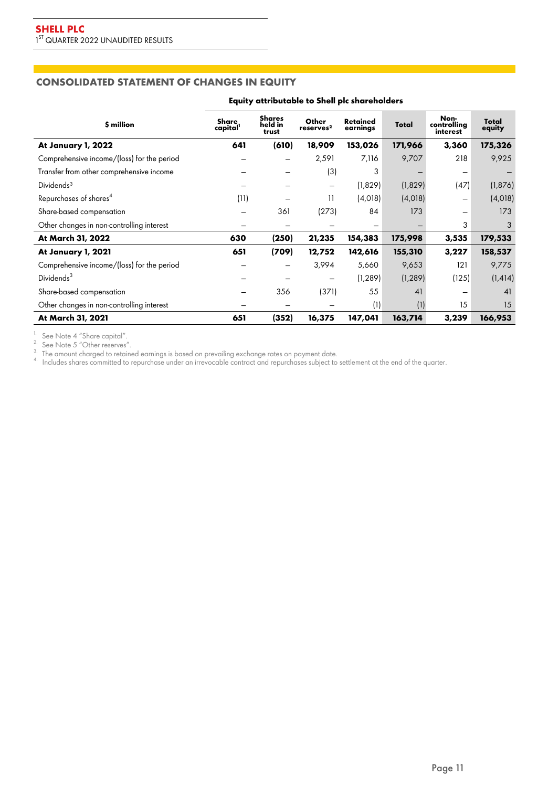# **CONSOLIDATED STATEMENT OF CHANGES IN EQUITY**

| \$ million                                 | <b>Share</b><br>capital' | <b>Shares</b><br>held in<br>trust | Other<br>reserves <sup>2</sup> | <b>Retained</b><br>earnings | Total    | Non-<br>controlling<br>interest | Total<br>equity |
|--------------------------------------------|--------------------------|-----------------------------------|--------------------------------|-----------------------------|----------|---------------------------------|-----------------|
| At January 1, 2022                         | 641                      | (610)                             | 18,909                         | 153,026                     | 171,966  | 3,360                           | 175,326         |
| Comprehensive income/(loss) for the period |                          |                                   | 2,591                          | 7,116                       | 9,707    | 218                             | 9,925           |
| Transfer from other comprehensive income   |                          |                                   | (3)                            | 3                           |          |                                 |                 |
| Dividends <sup>3</sup>                     |                          |                                   | $\qquad \qquad$                | (1,829)                     | (1,829)  | (47)                            | (1, 876)        |
| Repurchases of shares <sup>4</sup>         | (11)                     |                                   | 11                             | (4,018)                     | (4,018)  |                                 | (4,018)         |
| Share-based compensation                   |                          | 361                               | (273)                          | 84                          | 173      |                                 | 173             |
| Other changes in non-controlling interest  |                          |                                   |                                |                             |          | 3                               | 3               |
| At March 31, 2022                          | 630                      | (250)                             | 21,235                         | 154,383                     | 175,998  | 3,535                           | 179,533         |
| At January 1, 2021                         | 651                      | (709)                             | 12,752                         | 142,616                     | 155,310  | 3,227                           | 158,537         |
| Comprehensive income/(loss) for the period |                          |                                   | 3,994                          | 5,660                       | 9,653    | 121                             | 9,775           |
| Dividends <sup>3</sup>                     |                          |                                   | -                              | (1, 289)                    | (1, 289) | (125)                           | (1, 414)        |
| Share-based compensation                   |                          | 356                               | (371)                          | 55                          | 41       |                                 | 41              |
| Other changes in non-controlling interest  |                          |                                   |                                | (1)                         | (1)      | 15                              | 15              |
| At March 31, 2021                          | 651                      | (352)                             | 16,375                         | 147,041                     | 163,714  | 3,239                           | 166,953         |

**Equity attributable to Shell plc shareholders**

 $1.$  See Note 4 "Share capital".

 $2.$  See Note 5 "Other reserves".

 $^{\text{3.}}$  The amount charged to retained earnings is based on prevailing exchange rates on payment date.

Includes shares committed to repurchase under an irrevocable contract and repurchases subject to settlement at the end of the quarter.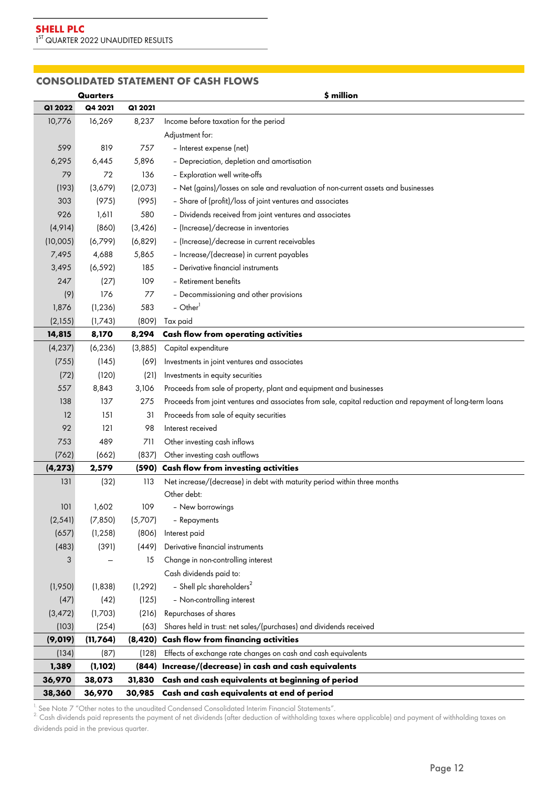#### **CONSOLIDATED STATEMENT OF CASH FLOWS**

|          | <b>Quarters</b> |          | \$ million                                                                                                |
|----------|-----------------|----------|-----------------------------------------------------------------------------------------------------------|
| Q1 2022  | Q4 2021         | Q1 2021  |                                                                                                           |
| 10,776   | 16,269          | 8,237    | Income before taxation for the period                                                                     |
|          |                 |          | Adjustment for:                                                                                           |
| 599      | 819             | 757      | - Interest expense (net)                                                                                  |
| 6,295    | 6,445           | 5,896    | - Depreciation, depletion and amortisation                                                                |
| 79       | 72              | 136      | - Exploration well write-offs                                                                             |
| (193)    | (3,679)         | (2,073)  | - Net (gains)/losses on sale and revaluation of non-current assets and businesses                         |
| 303      | (975)           | (995)    | - Share of (profit)/loss of joint ventures and associates                                                 |
| 926      | 1,611           | 580      | - Dividends received from joint ventures and associates                                                   |
| (4,914)  | (860)           | (3, 426) | - (Increase)/decrease in inventories                                                                      |
| (10,005) | (6,799)         | (6,829)  | - (Increase)/decrease in current receivables                                                              |
| 7,495    | 4,688           | 5,865    | - Increase/(decrease) in current payables                                                                 |
| 3,495    | (6, 592)        | 185      | - Derivative financial instruments                                                                        |
| 247      | (27)            | 109      | - Retirement benefits                                                                                     |
| (9)      | 176             | 77       | - Decommissioning and other provisions                                                                    |
| 1,876    | (1, 236)        | 583      | - Other <sup>1</sup>                                                                                      |
| (2,155)  | (1,743)         | (809)    | Tax paid                                                                                                  |
| 14,815   | 8,170           | 8,294    | <b>Cash flow from operating activities</b>                                                                |
| (4, 237) | (6, 236)        | (3,885)  | Capital expenditure                                                                                       |
| (755)    | (145)           | (69)     | Investments in joint ventures and associates                                                              |
| (72)     | (120)           | (21)     | Investments in equity securities                                                                          |
| 557      | 8,843           | 3,106    | Proceeds from sale of property, plant and equipment and businesses                                        |
| 138      | 137             | 275      | Proceeds from joint ventures and associates from sale, capital reduction and repayment of long-term loans |
| 12       | 151             | 31       | Proceeds from sale of equity securities                                                                   |
| 92       | 121             | 98       | Interest received                                                                                         |
| 753      | 489             | 711      | Other investing cash inflows                                                                              |
| (762)    | (662)           | (837)    | Other investing cash outflows                                                                             |
| (4, 273) | 2,579           | (590)    | <b>Cash flow from investing activities</b>                                                                |
| 131      | (32)            | 113      | Net increase/(decrease) in debt with maturity period within three months                                  |
|          |                 |          | Other debt:                                                                                               |
| 101      | 1,602           | 109      | - New borrowings                                                                                          |
| (2, 541) | (7, 850)        | (5,707)  | - Repayments                                                                                              |
| (657)    | (1, 258)        | (806)    | Interest paid                                                                                             |
| (483)    | (391)           | (449)    | Derivative financial instruments                                                                          |
| 3        |                 | 15       | Change in non-controlling interest                                                                        |
|          |                 |          | Cash dividends paid to:                                                                                   |
| (1,950)  | (1,838)         | (1, 292) | - Shell plc shareholders <sup>2</sup>                                                                     |
| (47)     | (42)            | (125)    | - Non-controlling interest                                                                                |
| (3, 472) | (1,703)         | (216)    | Repurchases of shares                                                                                     |
| (103)    | (254)           | (63)     | Shares held in trust: net sales/(purchases) and dividends received                                        |
| (9,019)  | (11,764)        | (8, 420) | <b>Cash flow from financing activities</b>                                                                |
| (134)    | (87)            | (128)    | Effects of exchange rate changes on cash and cash equivalents                                             |
| 1,389    | (1, 102)        | (844)    | Increase/(decrease) in cash and cash equivalents                                                          |
| 36,970   | 38,073          | 31,830   | Cash and cash equivalents at beginning of period                                                          |
| 38,360   | 36,970          | 30,985   | Cash and cash equivalents at end of period                                                                |

 $1.$  See Note 7 "Other notes to the unaudited Condensed Consolidated Interim Financial Statements".

 $^{2}$  Cash dividends paid represents the payment of net dividends (after deduction of withholding taxes where applicable) and payment of withholding taxes on dividends paid in the previous quarter.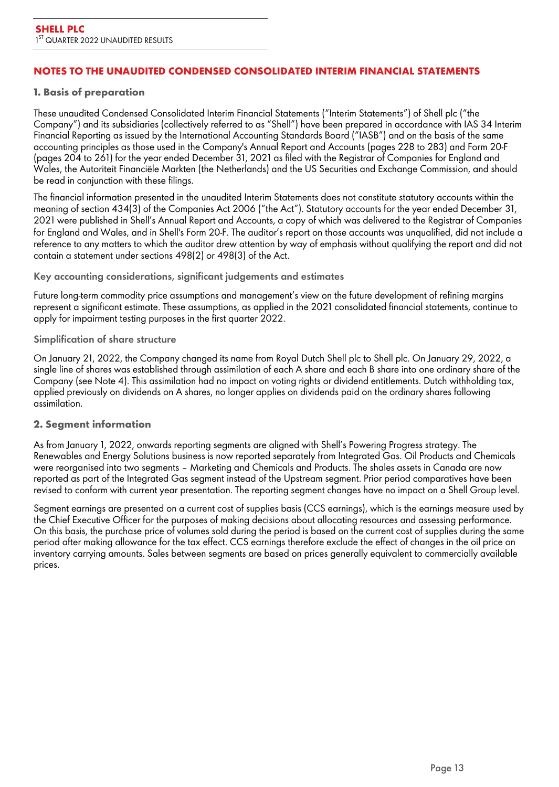# **NOTES TO THE UNAUDITED CONDENSED CONSOLIDATED INTERIM FINANCIAL STATEMENTS**

#### **1. Basis of preparation**

These unaudited Condensed Consolidated Interim Financial Statements ("Interim Statements") of Shell plc ("the Company") and its subsidiaries (collectively referred to as "Shell") have been prepared in accordance with IAS 34 *Interim Financial Reporting* as issued by the International Accounting Standards Board ("IASB") and on the basis of the same accounting principles as those used in the Company's Annual Report and Accounts (pages 228 to 283) and Form 20-F (pages 204 to 261) for the year ended December 31, 2021 as filed with the Registrar of Companies for England and Wales, the Autoriteit Financiële Markten (the Netherlands) and the US Securities and Exchange Commission, and should be read in conjunction with these filings.

The financial information presented in the unaudited Interim Statements does not constitute statutory accounts within the meaning of section 434(3) of the Companies Act 2006 ("the Act"). Statutory accounts for the year ended December 31, 2021 were published in Shell's Annual Report and Accounts, a copy of which was delivered to the Registrar of Companies for England and Wales, and in Shell's Form 20-F. The auditor's report on those accounts was unqualified, did not include a reference to any matters to which the auditor drew attention by way of emphasis without qualifying the report and did not contain a statement under sections 498(2) or 498(3) of the Act.

Key accounting considerations, significant judgements and estimates

Future long-term commodity price assumptions and management's view on the future development of refining margins represent a significant estimate. These assumptions, as applied in the 2021 consolidated financial statements, continue to apply for impairment testing purposes in the first quarter 2022.

#### Simplification of share structure

On January 21, 2022, the Company changed its name from Royal Dutch Shell plc to Shell plc. On January 29, 2022, a single line of shares was established through assimilation of each A share and each B share into one ordinary share of the Company (see Note 4). This assimilation had no impact on voting rights or dividend entitlements. Dutch withholding tax, applied previously on dividends on A shares, no longer applies on dividends paid on the ordinary shares following assimilation.

#### **2. Segment information**

As from January 1, 2022, onwards reporting segments are aligned with Shell's Powering Progress strategy. The Renewables and Energy Solutions business is now reported separately from Integrated Gas. Oil Products and Chemicals were reorganised into two segments – Marketing and Chemicals and Products. The shales assets in Canada are now reported as part of the Integrated Gas segment instead of the Upstream segment. Prior period comparatives have been revised to conform with current year presentation. The reporting segment changes have no impact on a Shell Group level.

Segment earnings are presented on a current cost of supplies basis (CCS earnings), which is the earnings measure used by the Chief Executive Officer for the purposes of making decisions about allocating resources and assessing performance. On this basis, the purchase price of volumes sold during the period is based on the current cost of supplies during the same period after making allowance for the tax effect. CCS earnings therefore exclude the effect of changes in the oil price on inventory carrying amounts. Sales between segments are based on prices generally equivalent to commercially available prices.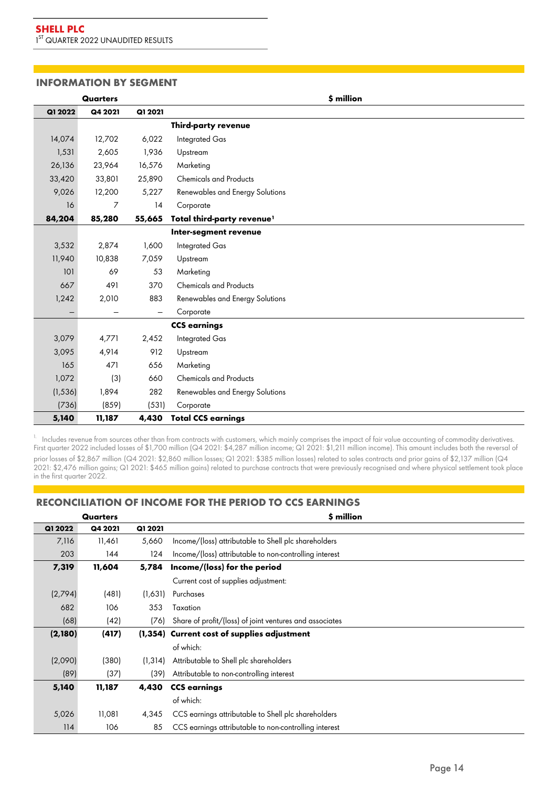# **INFORMATION BY SEGMENT**

| <b>Quarters</b> |         |         | \$ million                             |
|-----------------|---------|---------|----------------------------------------|
| Q1 2022         | Q4 2021 | Q1 2021 |                                        |
|                 |         |         | Third-party revenue                    |
| 14,074          | 12,702  | 6,022   | <b>Integrated Gas</b>                  |
| 1,531           | 2,605   | 1,936   | Upstream                               |
| 26,136          | 23,964  | 16,576  | Marketing                              |
| 33,420          | 33,801  | 25,890  | <b>Chemicals and Products</b>          |
| 9,026           | 12,200  | 5,227   | Renewables and Energy Solutions        |
| 16              | 7       | 14      | Corporate                              |
| 84,204          | 85,280  | 55,665  | Total third-party revenue <sup>1</sup> |
|                 |         |         | Inter-segment revenue                  |
| 3,532           | 2,874   | 1,600   | Integrated Gas                         |
| 11,940          | 10,838  | 7,059   | Upstream                               |
| 101             | 69      | 53      | Marketing                              |
| 667             | 491     | 370     | <b>Chemicals and Products</b>          |
| 1,242           | 2,010   | 883     | Renewables and Energy Solutions        |
|                 |         |         | Corporate                              |
|                 |         |         | <b>CCS earnings</b>                    |
| 3,079           | 4,771   | 2,452   | <b>Integrated Gas</b>                  |
| 3,095           | 4,914   | 912     | Upstream                               |
| 165             | 471     | 656     | Marketing                              |
| 1,072           | (3)     | 660     | <b>Chemicals and Products</b>          |
| (1, 536)        | 1,894   | 282     | Renewables and Energy Solutions        |
| (736)           | (859)   | (531)   | Corporate                              |
| 5,140           | 11,187  | 4,430   | <b>Total CCS earnings</b>              |

 $1$  Includes revenue from sources other than from contracts with customers, which mainly comprises the impact of fair value accounting of commodity derivatives. First quarter 2022 included losses of \$1,700 million (Q4 2021: \$4,287 million income; Q1 2021: \$1,211 million income). This amount includes both the reversal of prior losses of \$2,867 million (Q4 2021: \$2,860 million losses; Q1 2021: \$385 million losses) related to sales contracts and prior gains of \$2,137 million (Q4 2021: \$2,476 million gains; Q1 2021: \$465 million gains) related to purchase contracts that were previously recognised and where physical settlement took place in the first quarter 2022.

#### **RECONCILIATION OF INCOME FOR THE PERIOD TO CCS EARNINGS**

| Quarters |         |          | \$ million                                              |
|----------|---------|----------|---------------------------------------------------------|
| Q1 2022  | Q4 2021 | Q1 2021  |                                                         |
| 7,116    | 11,461  | 5,660    | Income/(loss) attributable to Shell plc shareholders    |
| 203      | 144     | 124      | Income/(loss) attributable to non-controlling interest  |
| 7,319    | 11,604  | 5,784    | Income/(loss) for the period                            |
|          |         |          | Current cost of supplies adjustment:                    |
| (2,794)  | (481)   | (1,631)  | Purchases                                               |
| 682      | 106     | 353      | Taxation                                                |
| (68)     | (42)    | (76)     | Share of profit/(loss) of joint ventures and associates |
| (2,180)  | (417)   |          | (1,354) Current cost of supplies adjustment             |
|          |         |          | of which:                                               |
| (2,090)  | (380)   | (1, 314) | Attributable to Shell plc shareholders                  |
| (89)     | (37)    | (39)     | Attributable to non-controlling interest                |
| 5,140    | 11,187  | 4,430    | <b>CCS</b> earnings                                     |
|          |         |          | of which:                                               |
| 5,026    | 11,081  | 4,345    | CCS earnings attributable to Shell plc shareholders     |
| 114      | 106     | 85       | CCS earnings attributable to non-controlling interest   |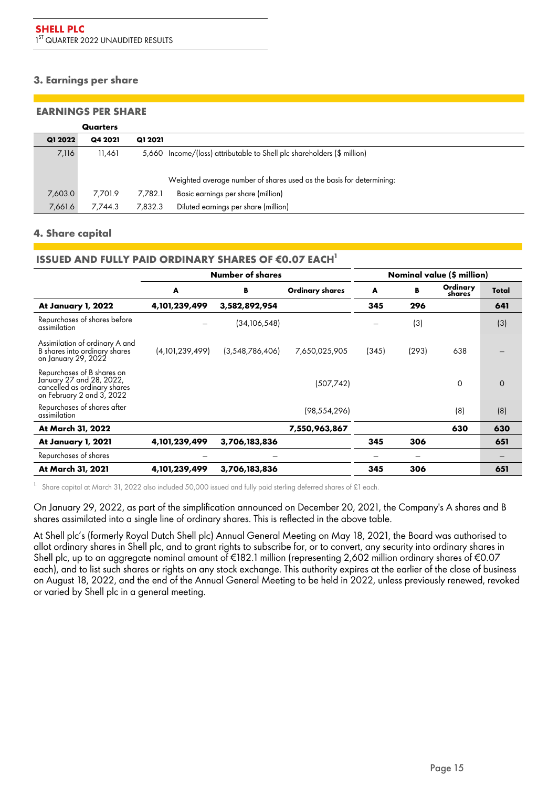# **3. Earnings per share**

#### **EARNINGS PER SHARE**

|         | Quarters |         |                                                                         |
|---------|----------|---------|-------------------------------------------------------------------------|
| Q1 2022 | Q4 2021  | Q1 2021 |                                                                         |
| 7,116   | 11,461   |         | 5,660 Income/(loss) attributable to Shell plc shareholders (\$ million) |
|         |          |         |                                                                         |
|         |          |         | Weighted average number of shares used as the basis for determining:    |
| 7,603.0 | 7,701.9  | 7,782.1 | Basic earnings per share (million)                                      |
| 7,661.6 | 7,744.3  | 7,832.3 | Diluted earnings per share (million)                                    |

#### **4. Share capital**

#### **ISSUED AND FULLY PAID ORDINARY SHARES OF €0.07 EACH<sup>1</sup>**

|                                                                                                                     |                 | Number of shares | Nominal value (\$ million) |       |       |                                 |             |
|---------------------------------------------------------------------------------------------------------------------|-----------------|------------------|----------------------------|-------|-------|---------------------------------|-------------|
|                                                                                                                     | A               | в                | <b>Ordinary shares</b>     | A     | в     | Ordinary<br>shares <sup>®</sup> | Total       |
| At January 1, 2022                                                                                                  | 4,101,239,499   | 3,582,892,954    |                            | 345   | 296   |                                 | 641         |
| Repurchases of shares before<br>assimilation                                                                        |                 | (34, 106, 548)   |                            |       | (3)   |                                 | (3)         |
| Assimilation of ordinary A and<br>B shares into ordinary shares<br>on January 29, 2022                              | (4,101,239,499) | (3.548.786.406)  | 7,650,025,905              | (345) | (293) | 638                             |             |
| Repurchases of B shares on<br>January 27 and 28, 2022,<br>cancelled as ordinary shares<br>on February 2 and 3, 2022 |                 |                  | (507,742)                  |       |       | 0                               | $\mathbf 0$ |
| Repurchases of shares after<br>assimilation                                                                         |                 |                  | (98, 554, 296)             |       |       | (8)                             | (8)         |
| At March 31, 2022                                                                                                   |                 |                  | 7,550,963,867              |       |       | 630                             | 630         |
| At January 1, 2021                                                                                                  | 4,101,239,499   | 3,706,183,836    |                            | 345   | 306   |                                 | 651         |
| Repurchases of shares                                                                                               |                 |                  |                            |       |       |                                 |             |
| At March 31, 2021                                                                                                   | 4,101,239,499   | 3,706,183,836    |                            | 345   | 306   |                                 | 651         |

Share capital at March 31, 2022 also included 50,000 issued and fully paid sterling deferred shares of £1 each.

On January 29, 2022, as part of the simplification announced on December 20, 2021, the Company's A shares and B shares assimilated into a single line of ordinary shares. This is reflected in the above table.

At Shell plc's (formerly Royal Dutch Shell plc) Annual General Meeting on May 18, 2021, the Board was authorised to allot ordinary shares in Shell plc, and to grant rights to subscribe for, or to convert, any security into ordinary shares in Shell plc, up to an aggregate nominal amount of €182.1 million (representing 2,602 million ordinary shares of €0.07 each), and to list such shares or rights on any stock exchange. This authority expires at the earlier of the close of business on August 18, 2022, and the end of the Annual General Meeting to be held in 2022, unless previously renewed, revoked or varied by Shell plc in a general meeting.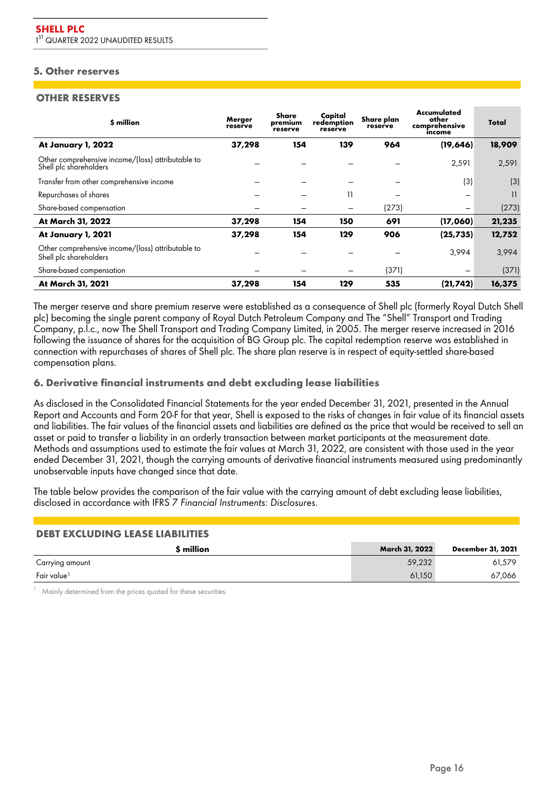#### **5. Other reserves**

#### **OTHER RESERVES**

| \$ million                                                                  | Merger<br>reserve | Share<br>premium<br>reserve | Capital<br>redemption<br>reserve | Share plan<br>reserve | Accumulated<br>other<br>comprehensive<br>income | Total  |
|-----------------------------------------------------------------------------|-------------------|-----------------------------|----------------------------------|-----------------------|-------------------------------------------------|--------|
| At January 1, 2022                                                          | 37,298            | 154                         | 139                              | 964                   | (19,646)                                        | 18,909 |
| Other comprehensive income/(loss) attributable to<br>Shell plc shareholders |                   |                             |                                  |                       | 2,591                                           | 2,591  |
| Transfer from other comprehensive income                                    |                   |                             |                                  |                       | (3)                                             | (3)    |
| Repurchases of shares                                                       |                   |                             | 11                               |                       | -                                               | 11     |
| Share-based compensation                                                    |                   |                             | -                                | (273)                 | -                                               | (273)  |
| At March 31, 2022                                                           | 37,298            | 154                         | 150                              | 691                   | (17,060)                                        | 21,235 |
| At January 1, 2021                                                          | 37,298            | 154                         | 129                              | 906                   | (25, 735)                                       | 12,752 |
| Other comprehensive income/(loss) attributable to<br>Shell plc shareholders |                   |                             |                                  |                       | 3,994                                           | 3,994  |
| Share-based compensation                                                    |                   |                             |                                  | (371)                 | -                                               | (371)  |
| At March 31, 2021                                                           | 37,298            | 154                         | 129                              | 535                   | (21, 742)                                       | 16,375 |

The merger reserve and share premium reserve were established as a consequence of Shell plc (formerly Royal Dutch Shell plc) becoming the single parent company of Royal Dutch Petroleum Company and The "Shell" Transport and Trading Company, p.l.c., now The Shell Transport and Trading Company Limited, in 2005. The merger reserve increased in 2016 following the issuance of shares for the acquisition of BG Group plc. The capital redemption reserve was established in connection with repurchases of shares of Shell plc. The share plan reserve is in respect of equity-settled share-based compensation plans.

### **6. Derivative financial instruments and debt excluding lease liabilities**

As disclosed in the Consolidated Financial Statements for the year ended December 31, 2021, presented in the Annual Report and Accounts and Form 20-F for that year, Shell is exposed to the risks of changes in fair value of its financial assets and liabilities. The fair values of the financial assets and liabilities are defined as the price that would be received to sell an asset or paid to transfer a liability in an orderly transaction between market participants at the measurement date. Methods and assumptions used to estimate the fair values at March 31, 2022, are consistent with those used in the year ended December 31, 2021, though the carrying amounts of derivative financial instruments measured using predominantly unobservable inputs have changed since that date.

The table below provides the comparison of the fair value with the carrying amount of debt excluding lease liabilities, disclosed in accordance with IFRS 7 *Financial Instruments: Disclosures.*

# **DEBT EXCLUDING LEASE LIABILITIES**

| \$ million              | March 31, 2022 | December 31, 2021 |
|-------------------------|----------------|-------------------|
| Carrying amount         | 59,232         | 61,579            |
| Fair value <sup>1</sup> | 61.150         | 67,066            |

Mainly determined from the prices quoted for these securities.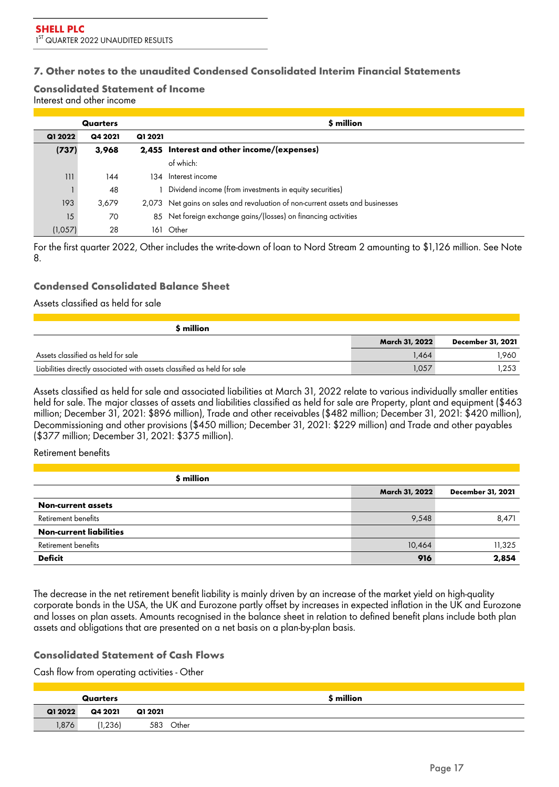# **7. Other notes to the unaudited Condensed Consolidated Interim Financial Statements**

#### **Consolidated Statement of Income**

Interest and other income

| Quarters |         |         | \$ million                                                                    |
|----------|---------|---------|-------------------------------------------------------------------------------|
| Q1 2022  | Q4 2021 | Q1 2021 |                                                                               |
| (737)    | 3,968   |         | 2,455 Interest and other income/(expenses)                                    |
|          |         |         | of which:                                                                     |
| 111      | 144     | 134     | Interest income                                                               |
|          | 48      |         | Dividend income (from investments in equity securities)                       |
| 193      | 3,679   |         | 2,073 Net gains on sales and revaluation of non-current assets and businesses |
| 15       | 70      |         | 85 Net foreign exchange gains/(losses) on financing activities                |
| (1,057)  | 28      | 161     | Other                                                                         |

For the first quarter 2022, Other includes the write-down of loan to Nord Stream 2 amounting to \$1,126 million. See Note 8.

### **Condensed Consolidated Balance Sheet**

Assets classified as held for sale

| \$ million                                                              |                |                   |
|-------------------------------------------------------------------------|----------------|-------------------|
|                                                                         | March 31, 2022 | December 31, 2021 |
| Assets classified as held for sale                                      | l.464          | 1.960             |
| Liabilities directly associated with assets classified as held for sale | 1,057          | 1.253             |

Assets classified as held for sale and associated liabilities at March 31, 2022 relate to various individually smaller entities held for sale. The major classes of assets and liabilities classified as held for sale are Property, plant and equipment (\$463 million; December 31, 2021: \$896 million), Trade and other receivables (\$482 million; December 31, 2021: \$420 million), Decommissioning and other provisions (\$450 million; December 31, 2021: \$229 million) and Trade and other payables (\$377 million; December 31, 2021: \$375 million).

#### Retirement benefits

| \$ million                     |                |                   |
|--------------------------------|----------------|-------------------|
|                                | March 31, 2022 | December 31, 2021 |
| <b>Non-current assets</b>      |                |                   |
| Retirement benefits            | 9,548          | 8,471             |
| <b>Non-current liabilities</b> |                |                   |
| Retirement benefits            | 10,464         | 11,325            |
| <b>Deficit</b>                 | 916            | 2,854             |

The decrease in the net retirement benefit liability is mainly driven by an increase of the market yield on high-quality corporate bonds in the USA, the UK and Eurozone partly offset by increases in expected inflation in the UK and Eurozone and losses on plan assets. Amounts recognised in the balance sheet in relation to defined benefit plans include both plan assets and obligations that are presented on a net basis on a plan-by-plan basis.

#### **Consolidated Statement of Cash Flows**

Cash flow from operating activities - Other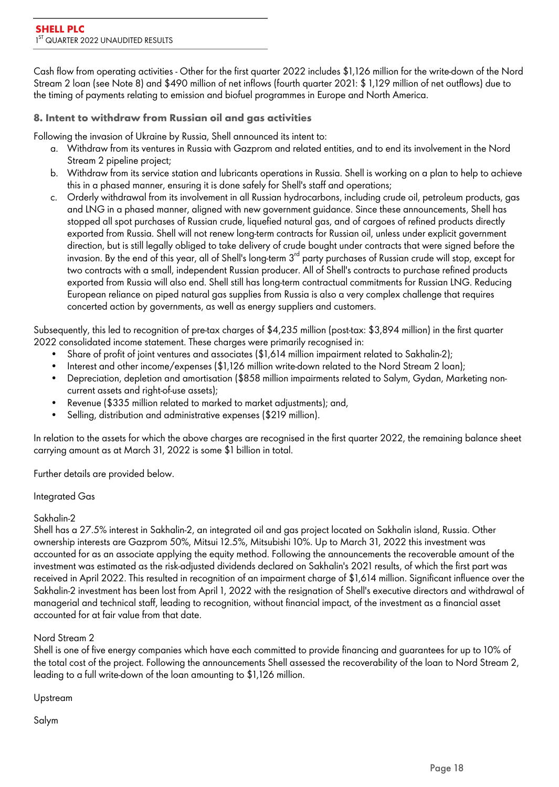Cash flow from operating activities - Other for the first quarter 2022 includes \$1,126 million for the write-down of the Nord Stream 2 loan (see Note 8) and \$490 million of net inflows (fourth quarter 2021: \$ 1,129 million of net outflows) due to the timing of payments relating to emission and biofuel programmes in Europe and North America.

# **8. Intent to withdraw from Russian oil and gas activities**

Following the invasion of Ukraine by Russia, Shell announced its intent to:

- a. Withdraw from its ventures in Russia with Gazprom and related entities, and to end its involvement in the Nord Stream 2 pipeline project;
- b. Withdraw from its service station and lubricants operations in Russia. Shell is working on a plan to help to achieve this in a phased manner, ensuring it is done safely for Shell's staff and operations;
- c. Orderly withdrawal from its involvement in all Russian hydrocarbons, including crude oil, petroleum products, gas and LNG in a phased manner, aligned with new government guidance. Since these announcements, Shell has stopped all spot purchases of Russian crude, liquefied natural gas, and of cargoes of refined products directly exported from Russia. Shell will not renew long-term contracts for Russian oil, unless under explicit government direction, but is still legally obliged to take delivery of crude bought under contracts that were signed before the invasion. By the end of this year, all of Shell's long-term 3rd party purchases of Russian crude will stop, except for two contracts with a small, independent Russian producer. All of Shell's contracts to purchase refined products exported from Russia will also end. Shell still has long-term contractual commitments for Russian LNG. Reducing European reliance on piped natural gas supplies from Russia is also a very complex challenge that requires concerted action by governments, as well as energy suppliers and customers.

Subsequently, this led to recognition of pre-tax charges of \$4,235 million (post-tax: \$3,894 million) in the first quarter 2022 consolidated income statement. These charges were primarily recognised in:

- Share of profit of joint ventures and associates (\$1,614 million impairment related to Sakhalin-2);
- Interest and other income/expenses (\$1,126 million write-down related to the Nord Stream 2 loan);
- Depreciation, depletion and amortisation (\$858 million impairments related to Salym, Gydan, Marketing noncurrent assets and right-of-use assets);
- Revenue (\$335 million related to marked to market adjustments); and,
- Selling, distribution and administrative expenses (\$219 million).

In relation to the assets for which the above charges are recognised in the first quarter 2022, the remaining balance sheet carrying amount as at March 31, 2022 is some \$1 billion in total.

Further details are provided below.

# *Integrated Gas*

# Sakhalin-2

Shell has a 27.5% interest in Sakhalin-2, an integrated oil and gas project located on Sakhalin island, Russia. Other ownership interests are Gazprom 50%, Mitsui 12.5%, Mitsubishi 10%. Up to March 31, 2022 this investment was accounted for as an associate applying the equity method. Following the announcements the recoverable amount of the investment was estimated as the risk-adjusted dividends declared on Sakhalin's 2021 results, of which the first part was received in April 2022. This resulted in recognition of an impairment charge of \$1,614 million. Significant influence over the Sakhalin-2 investment has been lost from April 1, 2022 with the resignation of Shell's executive directors and withdrawal of managerial and technical staff, leading to recognition, without financial impact, of the investment as a financial asset accounted for at fair value from that date.

# Nord Stream 2

Shell is one of five energy companies which have each committed to provide financing and guarantees for up to 10% of the total cost of the project. Following the announcements Shell assessed the recoverability of the loan to Nord Stream 2, leading to a full write-down of the loan amounting to \$1,126 million.

*Upstream*

Salym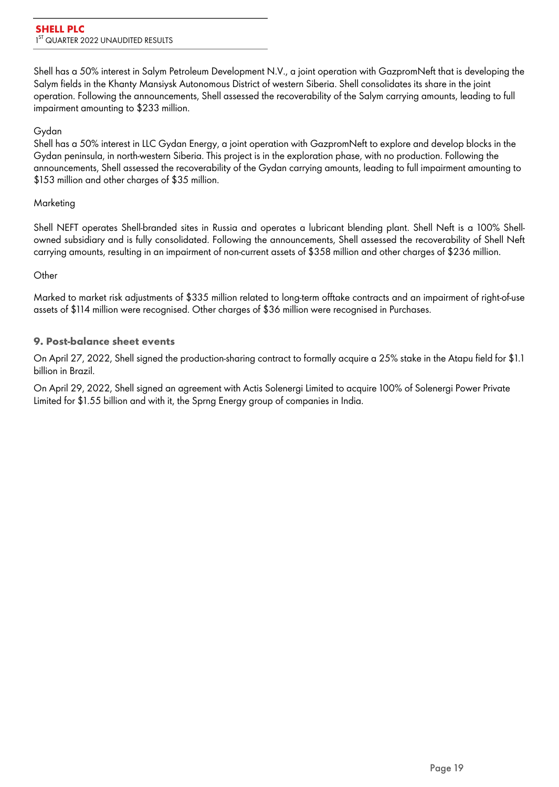Shell has a 50% interest in Salym Petroleum Development N.V., a joint operation with GazpromNeft that is developing the Salym fields in the Khanty Mansiysk Autonomous District of western Siberia. Shell consolidates its share in the joint operation. Following the announcements, Shell assessed the recoverability of the Salym carrying amounts, leading to full impairment amounting to \$233 million.

# **Gydan**

Shell has a 50% interest in LLC Gydan Energy, a joint operation with GazpromNeft to explore and develop blocks in the Gydan peninsula, in north-western Siberia. This project is in the exploration phase, with no production. Following the announcements, Shell assessed the recoverability of the Gydan carrying amounts, leading to full impairment amounting to \$153 million and other charges of \$35 million.

### *Marketing*

Shell NEFT operates Shell-branded sites in Russia and operates a lubricant blending plant. Shell Neft is a 100% Shellowned subsidiary and is fully consolidated. Following the announcements, Shell assessed the recoverability of Shell Neft carrying amounts, resulting in an impairment of non-current assets of \$358 million and other charges of \$236 million.

### *Other*

Marked to market risk adjustments of \$335 million related to long-term offtake contracts and an impairment of right-of-use assets of \$114 million were recognised. Other charges of \$36 million were recognised in Purchases.

# **9. Post-balance sheet events**

On April 27, 2022, Shell signed the production-sharing contract to formally acquire a 25% stake in the Atapu field for \$1.1 billion in Brazil.

On April 29, 2022, Shell signed an agreement with Actis Solenergi Limited to acquire 100% of Solenergi Power Private Limited for \$1.55 billion and with it, the Sprng Energy group of companies in India.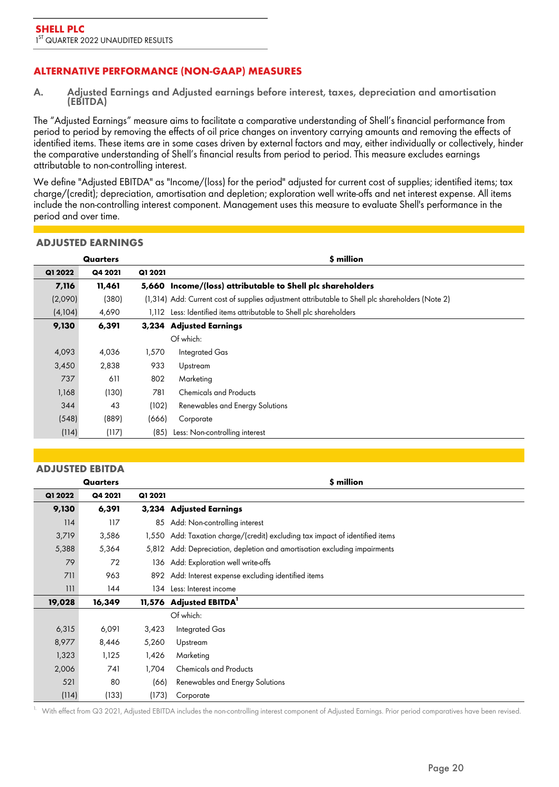# **ALTERNATIVE PERFORMANCE (NON-GAAP) MEASURES**

A. **Adjusted Earnings and Adjusted earnings before interest, taxes, depreciation and amortisation (EBITDA)**

The "Adjusted Earnings" measure aims to facilitate a comparative understanding of Shell's financial performance from period to period by removing the effects of oil price changes on inventory carrying amounts and removing the effects of identified items. These items are in some cases driven by external factors and may, either individually or collectively, hinder the comparative understanding of Shell's financial results from period to period. This measure excludes earnings attributable to non-controlling interest.

We define "Adjusted EBITDA" as "Income/(loss) for the period" adjusted for current cost of supplies; identified items; tax charge/(credit); depreciation, amortisation and depletion; exploration well write-offs and net interest expense. All items include the non-controlling interest component. Management uses this measure to evaluate Shell's performance in the period and over time.

#### **ADJUSTED EARNINGS**

| Quarters |         |         | \$ million                                                                                       |
|----------|---------|---------|--------------------------------------------------------------------------------------------------|
| Q1 2022  | Q4 2021 | Q1 2021 |                                                                                                  |
| 7,116    | 11,461  |         | 5,660 Income/(loss) attributable to Shell plc shareholders                                       |
| (2,090)  | (380)   |         | (1,314) Add: Current cost of supplies adjustment attributable to Shell plc shareholders (Note 2) |
| (4,104)  | 4,690   |         | 1,112 Less: Identified items attributable to Shell plc shareholders                              |
| 9,130    | 6,391   |         | 3,234 Adjusted Earnings                                                                          |
|          |         |         | Of which:                                                                                        |
| 4,093    | 4,036   | 1,570   | Integrated Gas                                                                                   |
| 3,450    | 2,838   | 933     | Upstream                                                                                         |
| 737      | 611     | 802     | Marketing                                                                                        |
| 1,168    | (130)   | 781     | <b>Chemicals and Products</b>                                                                    |
| 344      | 43      | (102)   | Renewables and Energy Solutions                                                                  |
| (548)    | (889)   | (666)   | Corporate                                                                                        |
| (114)    | (117)   | (85)    | Less: Non-controlling interest                                                                   |

#### **ADJUSTED EBITDA**

| <b>Quarters</b> |         |         | \$ million                                                                   |  |
|-----------------|---------|---------|------------------------------------------------------------------------------|--|
| Q1 2022         | Q4 2021 | Q1 2021 |                                                                              |  |
| 9,130           | 6,391   |         | 3,234 Adjusted Earnings                                                      |  |
| 114             | 117     | 85      | Add: Non-controlling interest                                                |  |
| 3,719           | 3,586   |         | 1,550 Add: Taxation charge/(credit) excluding tax impact of identified items |  |
| 5,388           | 5,364   |         | 5,812 Add: Depreciation, depletion and amortisation excluding impairments    |  |
| 79              | 72      |         | 136 Add: Exploration well write-offs                                         |  |
| 711             | 963     |         | 892 Add: Interest expense excluding identified items                         |  |
| 111             | 144     | 134     | Less: Interest income                                                        |  |
| 19,028          | 16,349  |         | 11,576 Adjusted EBITDA <sup>1</sup>                                          |  |
|                 |         |         | Of which:                                                                    |  |
| 6,315           | 6,091   | 3,423   | Integrated Gas                                                               |  |
| 8,977           | 8,446   | 5,260   | Upstream                                                                     |  |
| 1,323           | 1,125   | 1,426   | Marketing                                                                    |  |
| 2,006           | 741     | 1,704   | <b>Chemicals and Products</b>                                                |  |
| 521             | 80      | (66)    | Renewables and Energy Solutions                                              |  |
| (114)           | (133)   | (173)   | Corporate                                                                    |  |

 $1$ . With effect from Q3 2021, Adjusted EBITDA includes the non-controlling interest component of Adjusted Earnings. Prior period comparatives have been revised.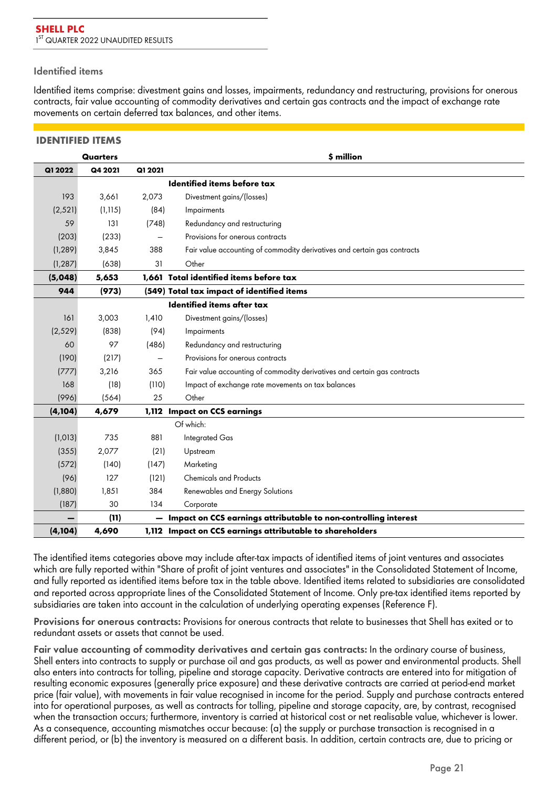# **Identified items**

Identified items comprise: divestment gains and losses, impairments, redundancy and restructuring, provisions for onerous contracts, fair value accounting of commodity derivatives and certain gas contracts and the impact of exchange rate movements on certain deferred tax balances, and other items.

#### **IDENTIFIED ITEMS**

| <b>Quarters</b> |                      |                                                            | \$ million                                                               |  |
|-----------------|----------------------|------------------------------------------------------------|--------------------------------------------------------------------------|--|
| Q1 2022         | Q4 2021              | Q1 2021                                                    |                                                                          |  |
|                 |                      |                                                            | <b>Identified items before tax</b>                                       |  |
| 193             | 3,661                | 2,073                                                      | Divestment gains/(losses)                                                |  |
| (2,521)         | (1, 115)             | (84)                                                       | Impairments                                                              |  |
| 59              | 131                  | (748)                                                      | Redundancy and restructuring                                             |  |
| (203)           | (233)                |                                                            | Provisions for onerous contracts                                         |  |
| (1, 289)        | 3,845                | 388                                                        | Fair value accounting of commodity derivatives and certain gas contracts |  |
| (1, 287)        | (638)                | 31                                                         | Other                                                                    |  |
| (5,048)         | 5,653                |                                                            | 1,661 Total identified items before tax                                  |  |
| 944             | (973)                |                                                            | (549) Total tax impact of identified items                               |  |
|                 |                      |                                                            | Identified items after tax                                               |  |
| 161             | 3,003                | 1,410                                                      | Divestment gains/(losses)                                                |  |
| (2,529)         | (838)                | (94)                                                       | Impairments                                                              |  |
| 60              | 97                   | (486)                                                      | Redundancy and restructuring                                             |  |
| (190)           | (217)                | $\qquad \qquad -$                                          | Provisions for onerous contracts                                         |  |
| (777)           | 3,216                | 365                                                        | Fair value accounting of commodity derivatives and certain gas contracts |  |
| 168             | (18)                 | Impact of exchange rate movements on tax balances<br>(110) |                                                                          |  |
| (996)           | Other<br>(564)<br>25 |                                                            |                                                                          |  |
| (4, 104)        | 4,679                |                                                            | 1,112 Impact on CCS earnings                                             |  |
|                 |                      |                                                            | Of which:                                                                |  |
| (1, 013)        | 735                  | 881                                                        | Integrated Gas                                                           |  |
| (355)           | 2,077                | (21)                                                       | Upstream                                                                 |  |
| (572)           | (140)                | (147)                                                      | Marketing                                                                |  |
| (96)            | 127                  | (121)                                                      | <b>Chemicals and Products</b>                                            |  |
| (1,880)         | 1,851                | 384                                                        | Renewables and Energy Solutions                                          |  |
| (187)           | 30                   | 134                                                        | Corporate                                                                |  |
|                 | (11)                 |                                                            | - Impact on CCS earnings attributable to non-controlling interest        |  |
| (4, 104)        | 4,690                |                                                            | 1,112 Impact on CCS earnings attributable to shareholders                |  |

The identified items categories above may include after-tax impacts of identified items of joint ventures and associates which are fully reported within "Share of profit of joint ventures and associates" in the Consolidated Statement of Income, and fully reported as identified items before tax in the table above. Identified items related to subsidiaries are consolidated and reported across appropriate lines of the Consolidated Statement of Income. Only pre-tax identified items reported by subsidiaries are taken into account in the calculation of underlying operating expenses (Reference F).

Provisions for onerous contracts: Provisions for onerous contracts that relate to businesses that Shell has exited or to redundant assets or assets that cannot be used.

Fair value accounting of commodity derivatives and certain gas contracts: In the ordinary course of business, Shell enters into contracts to supply or purchase oil and gas products, as well as power and environmental products. Shell also enters into contracts for tolling, pipeline and storage capacity. Derivative contracts are entered into for mitigation of resulting economic exposures (generally price exposure) and these derivative contracts are carried at period-end market price (fair value), with movements in fair value recognised in income for the period. Supply and purchase contracts entered into for operational purposes, as well as contracts for tolling, pipeline and storage capacity, are, by contrast, recognised when the transaction occurs; furthermore, inventory is carried at historical cost or net realisable value, whichever is lower. As a consequence, accounting mismatches occur because: (a) the supply or purchase transaction is recognised in a different period, or (b) the inventory is measured on a different basis. In addition, certain contracts are, due to pricing or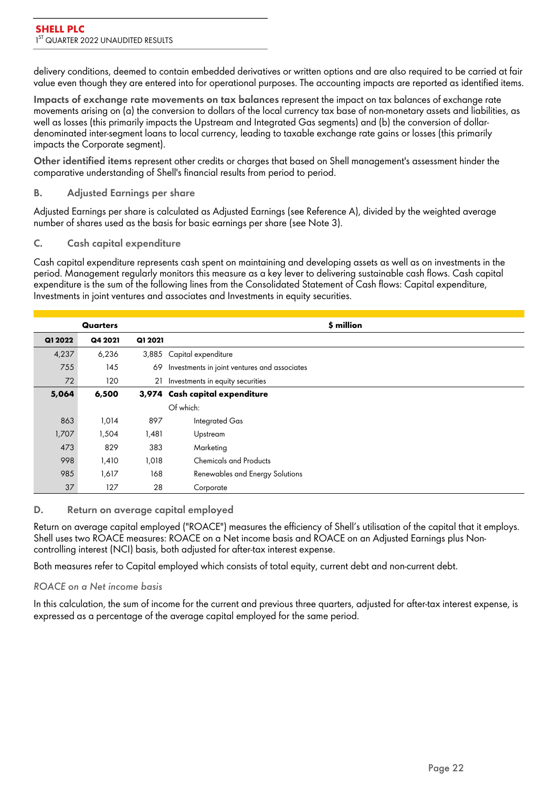delivery conditions, deemed to contain embedded derivatives or written options and are also required to be carried at fair value even though they are entered into for operational purposes. The accounting impacts are reported as identified items.

**Impacts of exchange rate movements on tax balances** represent the impact on tax balances of exchange rate movements arising on (a) the conversion to dollars of the local currency tax base of non-monetary assets and liabilities, as well as losses (this primarily impacts the Upstream and Integrated Gas segments) and (b) the conversion of dollardenominated inter-segment loans to local currency, leading to taxable exchange rate gains or losses (this primarily impacts the Corporate segment).

**Other identified items** represent other credits or charges that based on Shell management's assessment hinder the comparative understanding of Shell's financial results from period to period.

# B. Adjusted Earnings per share

Adjusted Earnings per share is calculated as Adjusted Earnings (see Reference A), divided by the weighted average number of shares used as the basis for basic earnings per share (see Note 3).

### C. Cash capital expenditure

Cash capital expenditure represents cash spent on maintaining and developing assets as well as on investments in the period. Management regularly monitors this measure as a key lever to delivering sustainable cash flows. Cash capital expenditure is the sum of the following lines from the Consolidated Statement of Cash flows: Capital expenditure, Investments in joint ventures and associates and Investments in equity securities.

|         | <b>Quarters</b> |         | \$ million                                   |
|---------|-----------------|---------|----------------------------------------------|
| Q1 2022 | Q4 2021         | Q1 2021 |                                              |
| 4,237   | 6,236           |         | 3,885 Capital expenditure                    |
| 755     | 145             | 69      | Investments in joint ventures and associates |
| 72      | 120             | 21      | Investments in equity securities             |
| 5,064   | 6,500           |         | 3,974 Cash capital expenditure               |
|         |                 |         | Of which:                                    |
| 863     | 1,014           | 897     | Integrated Gas                               |
| 1,707   | 1,504           | 1,481   | Upstream                                     |
| 473     | 829             | 383     | Marketing                                    |
| 998     | 1,410           | 1,018   | <b>Chemicals and Products</b>                |
| 985     | 1,617           | 168     | Renewables and Energy Solutions              |
| 37      | 127             | 28      | Corporate                                    |

# D. Return on average capital employed

Return on average capital employed ("ROACE") measures the efficiency of Shell's utilisation of the capital that it employs. Shell uses two ROACE measures: ROACE on a Net income basis and ROACE on an Adjusted Earnings plus Noncontrolling interest (NCI) basis, both adjusted for after-tax interest expense.

Both measures refer to Capital employed which consists of total equity, current debt and non-current debt.

#### *ROACE on a Net income basis*

In this calculation, the sum of income for the current and previous three quarters, adjusted for after-tax interest expense, is expressed as a percentage of the average capital employed for the same period.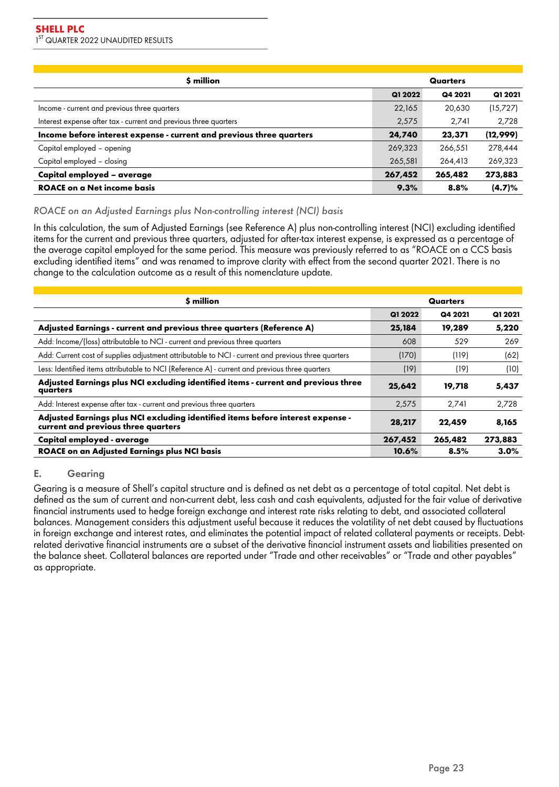| \$ million                                                           | Quarters |         |           |
|----------------------------------------------------------------------|----------|---------|-----------|
|                                                                      | Q1 2022  | Q4 2021 | Q1 2021   |
| Income - current and previous three quarters                         | 22,165   | 20,630  | (15,727)  |
| Interest expense after tax - current and previous three quarters     | 2,575    | 2.741   | 2,728     |
| Income before interest expense - current and previous three quarters | 24,740   | 23,371  | (12, 999) |
| Capital employed - opening                                           | 269,323  | 266,551 | 278,444   |
| Capital employed - closing                                           | 265,581  | 264,413 | 269,323   |
| Capital employed - average                                           | 267,452  | 265,482 | 273,883   |
| <b>ROACE on a Net income basis</b>                                   | 9.3%     | 8.8%    | (4.7)%    |

#### *ROACE on an Adjusted Earnings plus Non-controlling interest (NCI) basis*

In this calculation, the sum of Adjusted Earnings (see Reference A) plus non-controlling interest (NCI) excluding identified items for the current and previous three quarters, adjusted for after-tax interest expense, is expressed as a percentage of the average capital employed for the same period. This measure was previously referred to as "ROACE on a CCS basis excluding identified items" and was renamed to improve clarity with effect from the second quarter 2021. There is no change to the calculation outcome as a result of this nomenclature update.

| \$ million                                                                                                             |         | Quarters |         |  |
|------------------------------------------------------------------------------------------------------------------------|---------|----------|---------|--|
|                                                                                                                        | Q1 2022 | Q4 2021  | Q1 2021 |  |
| Adjusted Earnings - current and previous three quarters (Reference A)                                                  | 25,184  | 19,289   | 5,220   |  |
| Add: Income/(loss) attributable to NCI - current and previous three quarters                                           | 608     | 529      | 269     |  |
| Add: Current cost of supplies adjustment attributable to NCI - current and previous three quarters                     | (170)   | (119)    | (62)    |  |
| Less: Identified items attributable to NCI (Reference A) - current and previous three quarters                         | (19)    | (19)     | (10)    |  |
| Adjusted Earnings plus NCI excluding identified items - current and previous three<br>quarters                         | 25,642  | 19,718   | 5,437   |  |
| Add: Interest expense after tax - current and previous three quarters                                                  | 2,575   | 2,741    | 2,728   |  |
| Adjusted Earnings plus NCI excluding identified items before interest expense -<br>current and previous three quarters | 28,217  | 22,459   | 8,165   |  |
| Capital employed - average                                                                                             | 267,452 | 265,482  | 273,883 |  |
| <b>ROACE on an Adjusted Earnings plus NCI basis</b>                                                                    | 10.6%   | 8.5%     | 3.0%    |  |

#### E. Gearing

Gearing is a measure of Shell's capital structure and is defined as net debt as a percentage of total capital. Net debt is defined as the sum of current and non-current debt, less cash and cash equivalents, adjusted for the fair value of derivative financial instruments used to hedge foreign exchange and interest rate risks relating to debt, and associated collateral balances. Management considers this adjustment useful because it reduces the volatility of net debt caused by fluctuations in foreign exchange and interest rates, and eliminates the potential impact of related collateral payments or receipts. Debtrelated derivative financial instruments are a subset of the derivative financial instrument assets and liabilities presented on the balance sheet. Collateral balances are reported under "Trade and other receivables" or "Trade and other payables" as appropriate.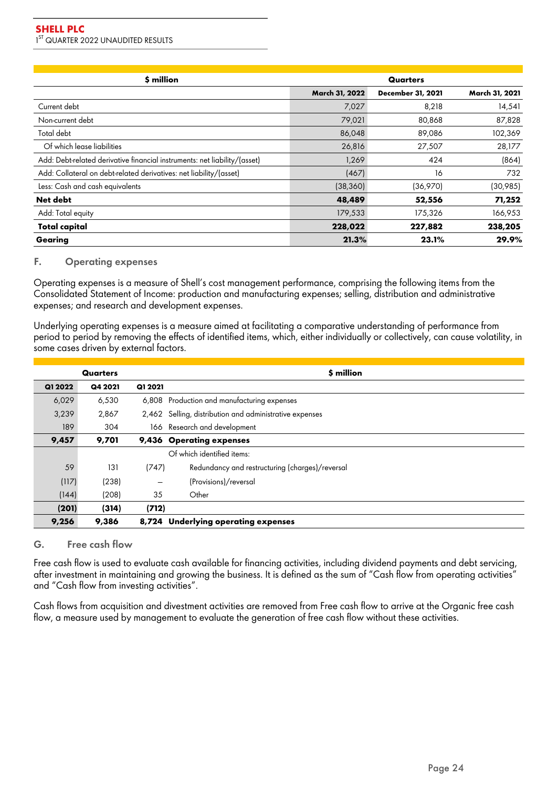| \$ million                                                                |                | Quarters                 |                |
|---------------------------------------------------------------------------|----------------|--------------------------|----------------|
|                                                                           | March 31, 2022 | <b>December 31, 2021</b> | March 31, 2021 |
| Current debt                                                              | 7,027          | 8,218                    | 14,541         |
| Non-current debt                                                          | 79,021         | 80,868                   | 87,828         |
| Total debt                                                                | 86,048         | 89,086                   | 102,369        |
| Of which lease liabilities                                                | 26,816         | 27,507                   | 28,177         |
| Add: Debt-related derivative financial instruments: net liability/(asset) | 1,269          | 424                      | (864)          |
| Add: Collateral on debt-related derivatives: net liability/(asset)        | (467)          | 16                       | 732            |
| Less: Cash and cash equivalents                                           | (38, 360)      | (36,970)                 | (30,985)       |
| Net debt                                                                  | 48,489         | 52,556                   | 71,252         |
| Add: Total equity                                                         | 179,533        | 175,326                  | 166,953        |
| Total capital                                                             | 228,022        | 227,882                  | 238,205        |
| Gearing                                                                   | 21.3%          | 23.1%                    | 29.9%          |

#### F. Operating expenses

Operating expenses is a measure of Shell's cost management performance, comprising the following items from the Consolidated Statement of Income: production and manufacturing expenses; selling, distribution and administrative expenses; and research and development expenses.

Underlying operating expenses is a measure aimed at facilitating a comparative understanding of performance from period to period by removing the effects of identified items, which, either individually or collectively, can cause volatility, in some cases driven by external factors.

|         | Quarters |                        | \$ million                                              |
|---------|----------|------------------------|---------------------------------------------------------|
| Q1 2022 | Q4 2021  | Q1 2021                |                                                         |
| 6,029   | 6,530    |                        | 6,808 Production and manufacturing expenses             |
| 3,239   | 2,867    |                        | 2,462 Selling, distribution and administrative expenses |
| 189     | 304      |                        | 166 Research and development                            |
| 9,457   | 9,701    |                        | 9,436 Operating expenses                                |
|         |          |                        | Of which identified items:                              |
| 59      | 131      | (747)                  | Redundancy and restructuring (charges)/reversal         |
| (117)   | (238)    | $\qquad \qquad \qquad$ | (Provisions)/reversal                                   |
| (144)   | (208)    | 35                     | Other                                                   |
| (201)   | (314)    | (712)                  |                                                         |
| 9,256   | 9,386    | 8,724                  | <b>Underlying operating expenses</b>                    |

# G. Free cash flow

Free cash flow is used to evaluate cash available for financing activities, including dividend payments and debt servicing, after investment in maintaining and growing the business. It is defined as the sum of "Cash flow from operating activities" and "Cash flow from investing activities".

Cash flows from acquisition and divestment activities are removed from Free cash flow to arrive at the Organic free cash flow, a measure used by management to evaluate the generation of free cash flow without these activities.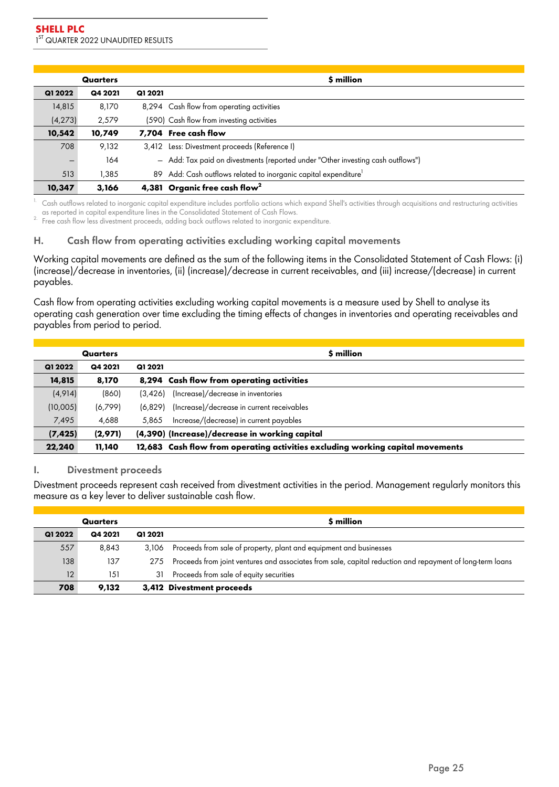| Quarters                 |         |         | \$ million                                                                      |
|--------------------------|---------|---------|---------------------------------------------------------------------------------|
| Q1 2022                  | Q4 2021 | Q1 2021 |                                                                                 |
| 14,815                   | 8,170   |         | 8,294 Cash flow from operating activities                                       |
| (4,273)                  | 2,579   |         | (590) Cash flow from investing activities                                       |
| 10,542                   | 10,749  |         | 7.704 Free cash flow                                                            |
| 708                      | 9,132   |         | 3,412 Less: Divestment proceeds (Reference I)                                   |
| $\overline{\phantom{m}}$ | 164     |         | - Add: Tax paid on divestments (reported under "Other investing cash outflows") |
| 513                      | 1.385   | 89.     | Add: Cash outflows related to inorganic capital expenditure                     |
| 10,347                   | 3,166   |         | 4,381 Organic free cash flow <sup>2</sup>                                       |

 $1$ . Cash outflows related to inorganic capital expenditure includes portfolio actions which expand Shell's activities through acquisitions and restructuring activities as reported in capital expenditure lines in the Consolidated Statement of Cash Flows.

<sup>2</sup>. Free cash flow less divestment proceeds, adding back outflows related to inorganic expenditure.

#### H. Cash flow from operating activities excluding working capital movements

Working capital movements are defined as the sum of the following items in the Consolidated Statement of Cash Flows: (i) (increase)/decrease in inventories, (ii) (increase)/decrease in current receivables, and (iii) increase/(decrease) in current payables.

Cash flow from operating activities excluding working capital movements is a measure used by Shell to analyse its operating cash generation over time excluding the timing effects of changes in inventories and operating receivables and payables from period to period.

| Quarters |         | \$ million                                                                     |
|----------|---------|--------------------------------------------------------------------------------|
| Q1 2022  | Q4 2021 | Q1 2021                                                                        |
| 14,815   | 8,170   | 8,294 Cash flow from operating activities                                      |
| (4,914)  | (860)   | (Increase)/decrease in inventories<br>(3.426)                                  |
| (10,005) | (6,799) | (Increase)/decrease in current receivables<br>(6.829)                          |
| 7,495    | 4.688   | Increase/(decrease) in current payables<br>5.865                               |
| (7, 425) | (2,971) | (4,390) (Increase)/decrease in working capital                                 |
| 22,240   | 11,140  | 12,683 Cash flow from operating activities excluding working capital movements |

#### I. Divestment proceeds

Divestment proceeds represent cash received from divestment activities in the period. Management regularly monitors this measure as a key lever to deliver sustainable cash flow.

| Quarters |         |         | <b>S</b> million                                                                                          |
|----------|---------|---------|-----------------------------------------------------------------------------------------------------------|
| Q1 2022  | Q4 2021 | Q1 2021 |                                                                                                           |
| 557      | 8.843   | 3.106   | Proceeds from sale of property, plant and equipment and businesses                                        |
| 138      | 137     | 275     | Proceeds from joint ventures and associates from sale, capital reduction and repayment of long-term loans |
| 12       | 151     | 31      | Proceeds from sale of equity securities                                                                   |
| 708      | 9,132   |         | 3,412 Divestment proceeds                                                                                 |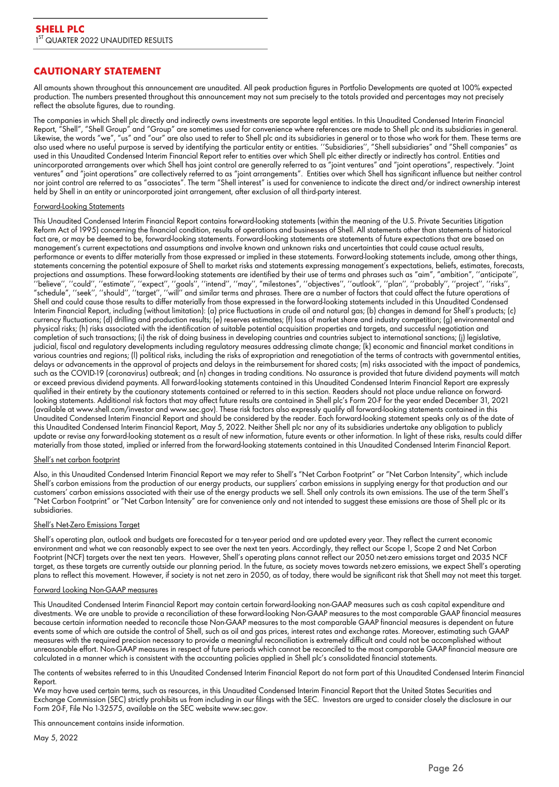#### **CAUTIONARY STATEMENT**

All amounts shown throughout this announcement are unaudited. All peak production figures in Portfolio Developments are quoted at 100% expected production. The numbers presented throughout this announcement may not sum precisely to the totals provided and percentages may not precisely reflect the absolute figures, due to rounding.

The companies in which Shell plc directly and indirectly owns investments are separate legal entities. In this Unaudited Condensed Interim Financial Report, "Shell", "Shell Group" and "Group" are sometimes used for convenience where references are made to Shell plc and its subsidiaries in general. Likewise, the words "we", "us" and "our" are also used to refer to Shell plc and its subsidiaries in general or to those who work for them. These terms are also used where no useful purpose is served by identifying the particular entity or entities. ''Subsidiaries'', "Shell subsidiaries" and "Shell companies" as used in this Unaudited Condensed Interim Financial Report refer to entities over which Shell plc either directly or indirectly has control. Entities and unincorporated arrangements over which Shell has joint control are generally referred to as "joint ventures" and "joint operations", respectively. "Joint ventures" and "joint operations" are collectively referred to as "joint arrangements". Entities over which Shell has significant influence but neither control nor joint control are referred to as "associates". The term "Shell interest" is used for convenience to indicate the direct and/or indirect ownership interest held by Shell in an entity or unincorporated joint arrangement, after exclusion of all third-party interest.

#### Forward-Looking Statements

This Unaudited Condensed Interim Financial Report contains forward-looking statements (within the meaning of the U.S. Private Securities Litigation Reform Act of 1995) concerning the financial condition, results of operations and businesses of Shell. All statements other than statements of historical fact are, or may be deemed to be, forward-looking statements. Forward-looking statements are statements of future expectations that are based on management's current expectations and assumptions and involve known and unknown risks and uncertainties that could cause actual results, performance or events to differ materially from those expressed or implied in these statements. Forward-looking statements include, among other things, statements concerning the potential exposure of Shell to market risks and statements expressing management's expectations, beliefs, estimates, forecasts, projections and assumptions. These forward-looking statements are identified by their use of terms and phrases such as "aim", "ambition", ''anticipate'', ''believe'', ''could'', ''estimate'', ''expect'', ''goals'', ''intend'', ''may'', "milestones", ''objectives'', ''outlook'', ''plan'', ''probably'', ''project'', ''risks'', "schedule", ''seek'', ''should'', ''target'', ''will'' and similar terms and phrases. There are a number of factors that could affect the future operations of Shell and could cause those results to differ materially from those expressed in the forward-looking statements included in this Unaudited Condensed Interim Financial Report, including (without limitation): (a) price fluctuations in crude oil and natural gas; (b) changes in demand for Shell's products; (c) currency fluctuations; (d) drilling and production results; (e) reserves estimates; (f) loss of market share and industry competition; (g) environmental and physical risks; (h) risks associated with the identification of suitable potential acquisition properties and targets, and successful negotiation and completion of such transactions; (i) the risk of doing business in developing countries and countries subject to international sanctions; (j) legislative, judicial, fiscal and regulatory developments including regulatory measures addressing climate change; (k) economic and financial market conditions in various countries and regions; (l) political risks, including the risks of expropriation and renegotiation of the terms of contracts with governmental entities, delays or advancements in the approval of projects and delays in the reimbursement for shared costs; (m) risks associated with the impact of pandemics, such as the COVID-19 (coronavirus) outbreak; and (n) changes in trading conditions. No assurance is provided that future dividend payments will match or exceed previous dividend payments. All forward-looking statements contained in this Unaudited Condensed Interim Financial Report are expressly qualified in their entirety by the cautionary statements contained or referred to in this section. Readers should not place undue reliance on forwardlooking statements. Additional risk factors that may affect future results are contained in Shell plc's Form 20-F for the year ended December 31, 2021 (available at www.shell.com/investor and www.sec.gov). These risk factors also expressly qualify all forward-looking statements contained in this Unaudited Condensed Interim Financial Report and should be considered by the reader. Each forward-looking statement speaks only as of the date of this Unaudited Condensed Interim Financial Report, May 5, 2022. Neither Shell plc nor any of its subsidiaries undertake any obligation to publicly update or revise any forward-looking statement as a result of new information, future events or other information. In light of these risks, results could differ materially from those stated, implied or inferred from the forward-looking statements contained in this Unaudited Condensed Interim Financial Report.

#### Shell's net carbon footprint

Also, in this Unaudited Condensed Interim Financial Report we may refer to Shell's "Net Carbon Footprint" or "Net Carbon Intensity", which include Shell's carbon emissions from the production of our energy products, our suppliers' carbon emissions in supplying energy for that production and our customers' carbon emissions associated with their use of the energy products we sell. Shell only controls its own emissions. The use of the term Shell's "Net Carbon Footprint" or "Net Carbon Intensity" are for convenience only and not intended to suggest these emissions are those of Shell plc or its subsidiaries.

#### Shell's Net-Zero Emissions Target

Shell's operating plan, outlook and budgets are forecasted for a ten-year period and are updated every year. They reflect the current economic environment and what we can reasonably expect to see over the next ten years. Accordingly, they reflect our Scope 1, Scope 2 and Net Carbon Footprint (NCF) targets over the next ten years. However, Shell's operating plans cannot reflect our 2050 net-zero emissions target and 2035 NCF target, as these targets are currently outside our planning period. In the future, as society moves towards net-zero emissions, we expect Shell's operating plans to reflect this movement. However, if society is not net zero in 2050, as of today, there would be significant risk that Shell may not meet this target.

#### Forward Looking Non-GAAP measures

This Unaudited Condensed Interim Financial Report may contain certain forward-looking non-GAAP measures such as cash capital expenditure and divestments. We are unable to provide a reconciliation of these forward-looking Non-GAAP measures to the most comparable GAAP financial measures because certain information needed to reconcile those Non-GAAP measures to the most comparable GAAP financial measures is dependent on future events some of which are outside the control of Shell, such as oil and gas prices, interest rates and exchange rates. Moreover, estimating such GAAP measures with the required precision necessary to provide a meaningful reconciliation is extremely difficult and could not be accomplished without unreasonable effort. Non-GAAP measures in respect of future periods which cannot be reconciled to the most comparable GAAP financial measure are calculated in a manner which is consistent with the accounting policies applied in Shell plc's consolidated financial statements.

The contents of websites referred to in this Unaudited Condensed Interim Financial Report do not form part of this Unaudited Condensed Interim Financial Report.

We may have used certain terms, such as resources, in this Unaudited Condensed Interim Financial Report that the United States Securities and Exchange Commission (SEC) strictly prohibits us from including in our filings with the SEC. Investors are urged to consider closely the disclosure in our Form 20-F, File No 1-32575, available on the SEC website www.sec.gov.

#### This announcement contains inside information.

May 5, 2022